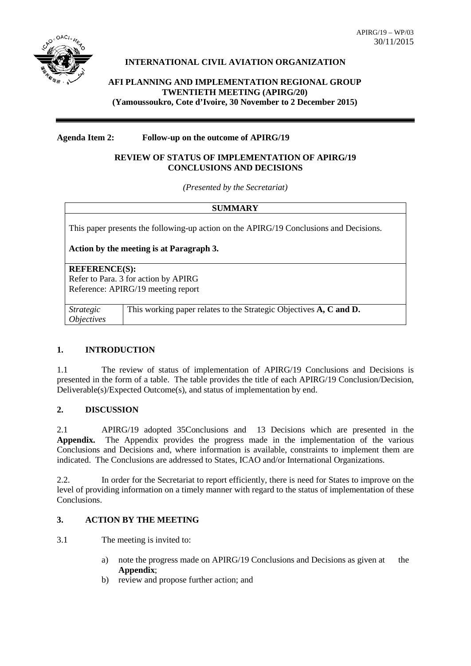

# **INTERNATIONAL CIVIL AVIATION ORGANIZATION**

**AFI PLANNING AND IMPLEMENTATION REGIONAL GROUP TWENTIETH MEETING (APIRG/20) (Yamoussoukro, Cote d'Ivoire, 30 November to 2 December 2015)**

#### **Agenda Item 2: Follow-up on the outcome of APIRG/19**

#### **REVIEW OF STATUS OF IMPLEMENTATION OF APIRG/19 CONCLUSIONS AND DECISIONS**

*(Presented by the Secretariat)*

|                                              | <b>SUMMARY</b>                                                                         |  |  |  |  |  |  |  |
|----------------------------------------------|----------------------------------------------------------------------------------------|--|--|--|--|--|--|--|
|                                              | This paper presents the following-up action on the APIRG/19 Conclusions and Decisions. |  |  |  |  |  |  |  |
| Action by the meeting is at Paragraph 3.     |                                                                                        |  |  |  |  |  |  |  |
| <b>REFERENCE(S):</b>                         | Refer to Para. 3 for action by APIRG<br>Reference: APIRG/19 meeting report             |  |  |  |  |  |  |  |
| <i>Strategic</i><br><i><b>Objectives</b></i> | This working paper relates to the Strategic Objectives A, C and D.                     |  |  |  |  |  |  |  |

## **1. INTRODUCTION**

1.1 The review of status of implementation of APIRG/19 Conclusions and Decisions is presented in the form of a table. The table provides the title of each APIRG/19 Conclusion/Decision, Deliverable(s)/Expected Outcome(s), and status of implementation by end.

## **2. DISCUSSION**

2.1 APIRG/19 adopted 35Conclusions and 13 Decisions which are presented in the **Appendix.** The Appendix provides the progress made in the implementation of the various Conclusions and Decisions and, where information is available, constraints to implement them are indicated. The Conclusions are addressed to States, ICAO and/or International Organizations.

2.2. In order for the Secretariat to report efficiently, there is need for States to improve on the level of providing information on a timely manner with regard to the status of implementation of these Conclusions.

## **3. ACTION BY THE MEETING**

3.1 The meeting is invited to:

- a) note the progress made on APIRG/19 Conclusions and Decisions as given at the **Appendix**;
- b) review and propose further action; and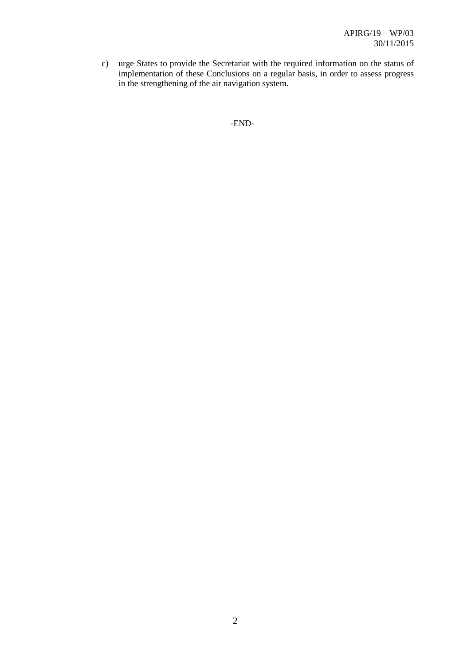c) urge States to provide the Secretariat with the required information on the status of implementation of these Conclusions on a regular basis, in order to assess progress in the strengthening of the air navigation system.

-END-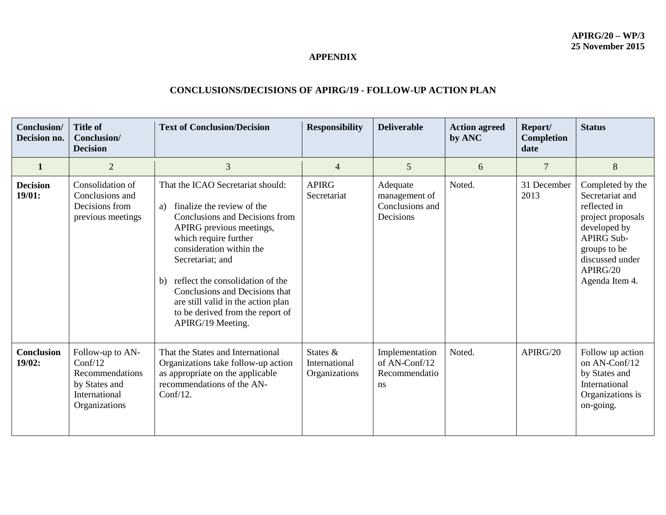## **APPENDIX**

# **CONCLUSIONS/DECISIONS OF APIRG/19 - FOLLOW-UP ACTION PLAN**

| Conclusion/<br>Decision no. | <b>Title of</b><br>Conclusion/<br><b>Decision</b>                                                 | <b>Text of Conclusion/Decision</b>                                                                                                                                                                                                                                                                                                                                                      | <b>Responsibility</b>                      | <b>Deliverable</b>                                        | <b>Action agreed</b><br>by ANC | Report/<br><b>Completion</b><br>date | <b>Status</b>                                                                                                                                                                  |
|-----------------------------|---------------------------------------------------------------------------------------------------|-----------------------------------------------------------------------------------------------------------------------------------------------------------------------------------------------------------------------------------------------------------------------------------------------------------------------------------------------------------------------------------------|--------------------------------------------|-----------------------------------------------------------|--------------------------------|--------------------------------------|--------------------------------------------------------------------------------------------------------------------------------------------------------------------------------|
| 1                           | $\overline{2}$                                                                                    | $\overline{3}$                                                                                                                                                                                                                                                                                                                                                                          | $\overline{4}$                             | 5                                                         | 6                              | 7                                    | 8                                                                                                                                                                              |
| <b>Decision</b><br>19/01:   | Consolidation of<br>Conclusions and<br>Decisions from<br>previous meetings                        | That the ICAO Secretariat should:<br>finalize the review of the<br>a)<br>Conclusions and Decisions from<br>APIRG previous meetings,<br>which require further<br>consideration within the<br>Secretariat; and<br>reflect the consolidation of the<br>b)<br>Conclusions and Decisions that<br>are still valid in the action plan<br>to be derived from the report of<br>APIRG/19 Meeting. | <b>APIRG</b><br>Secretariat                | Adequate<br>management of<br>Conclusions and<br>Decisions | Noted.                         | 31 December<br>2013                  | Completed by the<br>Secretariat and<br>reflected in<br>project proposals<br>developed by<br><b>APIRG Sub-</b><br>groups to be<br>discussed under<br>APIRG/20<br>Agenda Item 4. |
| <b>Conclusion</b><br>19/02: | Follow-up to AN-<br>Conf/12<br>Recommendations<br>by States and<br>International<br>Organizations | That the States and International<br>Organizations take follow-up action<br>as appropriate on the applicable<br>recommendations of the AN-<br>$Conf/12$ .                                                                                                                                                                                                                               | States &<br>International<br>Organizations | Implementation<br>of AN-Conf/12<br>Recommendatio<br>ns    | Noted.                         | APIRG/20                             | Follow up action<br>on AN-Conf/12<br>by States and<br>International<br>Organizations is<br>on-going.                                                                           |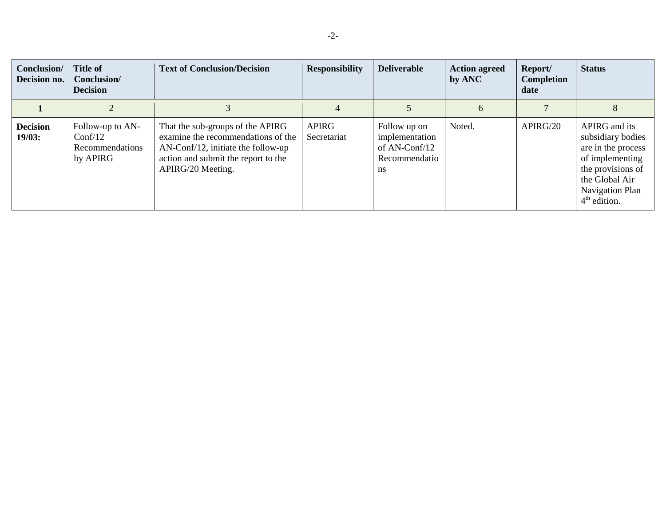| Conclusion/<br>Decision no. | <b>Title of</b><br>Conclusion/<br><b>Decision</b>          | <b>Text of Conclusion/Decision</b>                                                                                                                                          | <b>Responsibility</b>       | <b>Deliverable</b>                                                                 | <b>Action agreed</b><br>by ANC | Report/<br>Completion<br>date | <b>Status</b>                                                                                                                                           |
|-----------------------------|------------------------------------------------------------|-----------------------------------------------------------------------------------------------------------------------------------------------------------------------------|-----------------------------|------------------------------------------------------------------------------------|--------------------------------|-------------------------------|---------------------------------------------------------------------------------------------------------------------------------------------------------|
|                             |                                                            |                                                                                                                                                                             | 4                           |                                                                                    | 6                              |                               | 8                                                                                                                                                       |
| <b>Decision</b><br>19/03:   | Follow-up to AN-<br>Conf/12<br>Recommendations<br>by APIRG | That the sub-groups of the APIRG<br>examine the recommendations of the<br>$AN$ -Conf/12, initiate the follow-up<br>action and submit the report to the<br>APIRG/20 Meeting. | <b>APIRG</b><br>Secretariat | Follow up on<br>implementation<br>of AN-Conf/12<br>Recommendatio<br>$\mathbf{n}$ s | Noted.                         | APIRG/20                      | APIRG and its<br>subsidiary bodies<br>are in the process<br>of implementing<br>the provisions of<br>the Global Air<br>Navigation Plan<br>$4th$ edition. |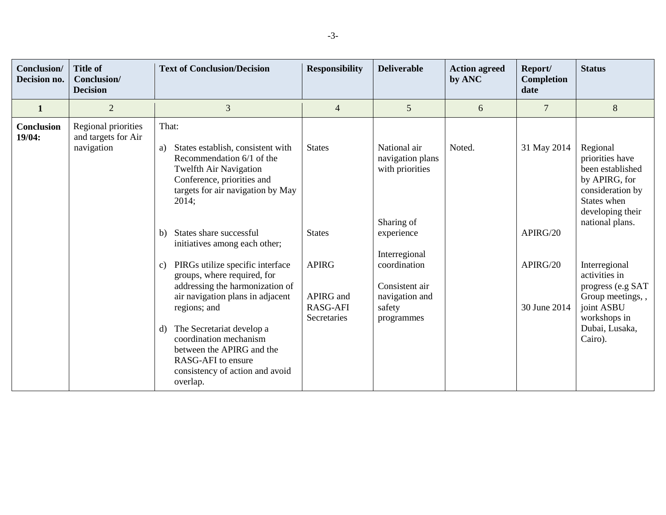| Conclusion/<br>Decision no. | <b>Title of</b><br>Conclusion/<br><b>Decision</b>        | <b>Text of Conclusion/Decision</b>                                                                                                                                                                                                                                                                                                                                                                                                                                                                                                                                                                       | <b>Responsibility</b>                                                                         | <b>Deliverable</b>                                                                                                                                                           | <b>Action agreed</b><br>by ANC | Report/<br>Completion<br>date                       | <b>Status</b>                                                                                                                                                                                                                                                                    |
|-----------------------------|----------------------------------------------------------|----------------------------------------------------------------------------------------------------------------------------------------------------------------------------------------------------------------------------------------------------------------------------------------------------------------------------------------------------------------------------------------------------------------------------------------------------------------------------------------------------------------------------------------------------------------------------------------------------------|-----------------------------------------------------------------------------------------------|------------------------------------------------------------------------------------------------------------------------------------------------------------------------------|--------------------------------|-----------------------------------------------------|----------------------------------------------------------------------------------------------------------------------------------------------------------------------------------------------------------------------------------------------------------------------------------|
| $\mathbf{1}$                | $\overline{2}$                                           | 3                                                                                                                                                                                                                                                                                                                                                                                                                                                                                                                                                                                                        | $\overline{4}$                                                                                | 5                                                                                                                                                                            | 6                              | 7                                                   | 8                                                                                                                                                                                                                                                                                |
| <b>Conclusion</b><br>19/04: | Regional priorities<br>and targets for Air<br>navigation | That:<br>States establish, consistent with<br>a)<br>Recommendation 6/1 of the<br><b>Twelfth Air Navigation</b><br>Conference, priorities and<br>targets for air navigation by May<br>2014;<br>States share successful<br>b)<br>initiatives among each other;<br>PIRGs utilize specific interface<br>$\mathcal{C}$ )<br>groups, where required, for<br>addressing the harmonization of<br>air navigation plans in adjacent<br>regions; and<br>The Secretariat develop a<br>d)<br>coordination mechanism<br>between the APIRG and the<br>RASG-AFI to ensure<br>consistency of action and avoid<br>overlap. | <b>States</b><br><b>States</b><br><b>APIRG</b><br>APIRG and<br><b>RASG-AFI</b><br>Secretaries | National air<br>navigation plans<br>with priorities<br>Sharing of<br>experience<br>Interregional<br>coordination<br>Consistent air<br>navigation and<br>safety<br>programmes | Noted.                         | 31 May 2014<br>APIRG/20<br>APIRG/20<br>30 June 2014 | Regional<br>priorities have<br>been established<br>by APIRG, for<br>consideration by<br>States when<br>developing their<br>national plans.<br>Interregional<br>activities in<br>progress (e.g SAT<br>Group meetings,,<br>joint ASBU<br>workshops in<br>Dubai, Lusaka,<br>Cairo). |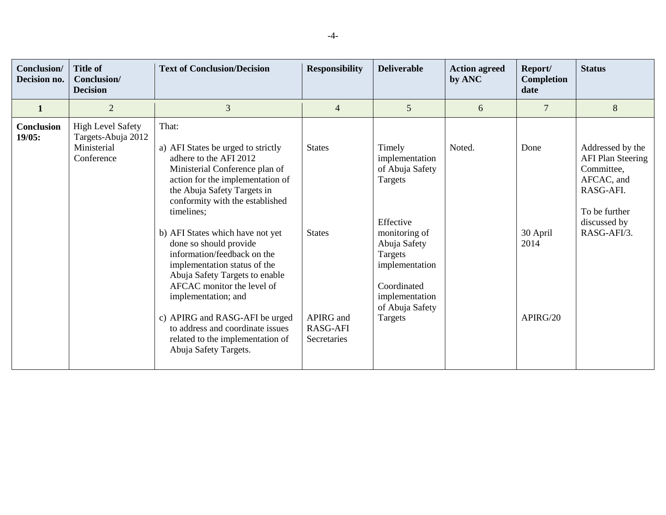| <b>Conclusion</b> /<br>Decision no. | <b>Title of</b><br>Conclusion/<br><b>Decision</b>                           | <b>Text of Conclusion/Decision</b>                                                                                                                                                                                                                                                                                                                                                                                                                                                                                                                                                 | <b>Responsibility</b>                                                         | <b>Deliverable</b>                                                                                                                                                                               | <b>Action agreed</b><br>by ANC | Report/<br><b>Completion</b><br>date | <b>Status</b>                                                                                                                         |
|-------------------------------------|-----------------------------------------------------------------------------|------------------------------------------------------------------------------------------------------------------------------------------------------------------------------------------------------------------------------------------------------------------------------------------------------------------------------------------------------------------------------------------------------------------------------------------------------------------------------------------------------------------------------------------------------------------------------------|-------------------------------------------------------------------------------|--------------------------------------------------------------------------------------------------------------------------------------------------------------------------------------------------|--------------------------------|--------------------------------------|---------------------------------------------------------------------------------------------------------------------------------------|
| $\mathbf{1}$                        | $\overline{2}$                                                              | 3                                                                                                                                                                                                                                                                                                                                                                                                                                                                                                                                                                                  | $\overline{4}$                                                                | 5                                                                                                                                                                                                | 6                              | 7                                    | 8                                                                                                                                     |
| <b>Conclusion</b><br>19/05:         | <b>High Level Safety</b><br>Targets-Abuja 2012<br>Ministerial<br>Conference | That:<br>a) AFI States be urged to strictly<br>adhere to the AFI 2012<br>Ministerial Conference plan of<br>action for the implementation of<br>the Abuja Safety Targets in<br>conformity with the established<br>timelines;<br>b) AFI States which have not yet<br>done so should provide<br>information/feedback on the<br>implementation status of the<br>Abuja Safety Targets to enable<br>AFCAC monitor the level of<br>implementation; and<br>c) APIRG and RASG-AFI be urged<br>to address and coordinate issues<br>related to the implementation of<br>Abuja Safety Targets. | <b>States</b><br><b>States</b><br>APIRG and<br><b>RASG-AFI</b><br>Secretaries | Timely<br>implementation<br>of Abuja Safety<br>Targets<br>Effective<br>monitoring of<br>Abuja Safety<br>Targets<br>implementation<br>Coordinated<br>implementation<br>of Abuja Safety<br>Targets | Noted.                         | Done<br>30 April<br>2014<br>APIRG/20 | Addressed by the<br><b>AFI Plan Steering</b><br>Committee,<br>AFCAC, and<br>RASG-AFI.<br>To be further<br>discussed by<br>RASG-AFI/3. |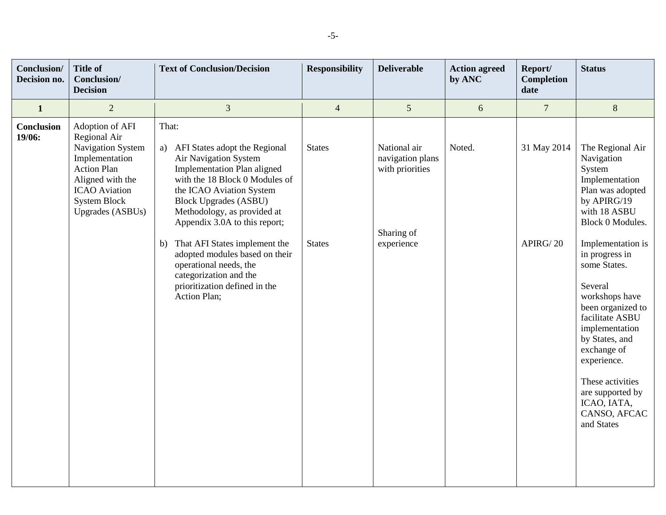| Conclusion/<br>Decision no. | <b>Title of</b><br><b>Conclusion/</b><br><b>Decision</b>                                                                                                                                   | <b>Text of Conclusion/Decision</b>                                                                                                                                                                                                                                                                                                                                                                                                                      | <b>Responsibility</b>          | <b>Deliverable</b>                                                              | <b>Action agreed</b><br>by ANC | Report/<br><b>Completion</b><br>date | <b>Status</b>                                                                                                                                                                                                                                                                                                                                                                                                        |
|-----------------------------|--------------------------------------------------------------------------------------------------------------------------------------------------------------------------------------------|---------------------------------------------------------------------------------------------------------------------------------------------------------------------------------------------------------------------------------------------------------------------------------------------------------------------------------------------------------------------------------------------------------------------------------------------------------|--------------------------------|---------------------------------------------------------------------------------|--------------------------------|--------------------------------------|----------------------------------------------------------------------------------------------------------------------------------------------------------------------------------------------------------------------------------------------------------------------------------------------------------------------------------------------------------------------------------------------------------------------|
| $\mathbf{1}$                | $\overline{2}$                                                                                                                                                                             | 3                                                                                                                                                                                                                                                                                                                                                                                                                                                       | $\overline{4}$                 | 5                                                                               | $6\,$                          | $\overline{7}$                       | $\, 8$                                                                                                                                                                                                                                                                                                                                                                                                               |
| <b>Conclusion</b><br>19/06: | Adoption of AFI<br>Regional Air<br>Navigation System<br>Implementation<br><b>Action Plan</b><br>Aligned with the<br><b>ICAO</b> Aviation<br><b>System Block</b><br><b>Upgrades (ASBUs)</b> | That:<br>AFI States adopt the Regional<br>a)<br>Air Navigation System<br><b>Implementation Plan aligned</b><br>with the 18 Block 0 Modules of<br>the ICAO Aviation System<br><b>Block Upgrades (ASBU)</b><br>Methodology, as provided at<br>Appendix 3.0A to this report;<br>That AFI States implement the<br>b)<br>adopted modules based on their<br>operational needs, the<br>categorization and the<br>prioritization defined in the<br>Action Plan; | <b>States</b><br><b>States</b> | National air<br>navigation plans<br>with priorities<br>Sharing of<br>experience | Noted.                         | 31 May 2014<br>APIRG/20              | The Regional Air<br>Navigation<br>System<br>Implementation<br>Plan was adopted<br>by APIRG/19<br>with 18 ASBU<br>Block 0 Modules.<br>Implementation is<br>in progress in<br>some States.<br>Several<br>workshops have<br>been organized to<br>facilitate ASBU<br>implementation<br>by States, and<br>exchange of<br>experience.<br>These activities<br>are supported by<br>ICAO, IATA,<br>CANSO, AFCAC<br>and States |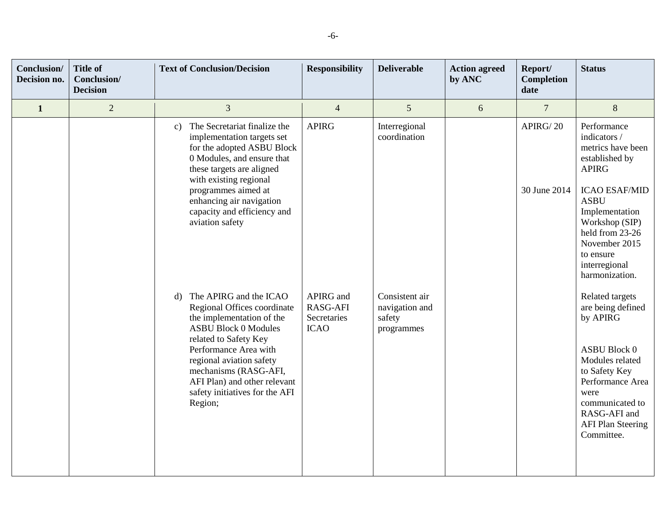| <b>Conclusion</b> /<br>Decision no. | <b>Title of</b><br>Conclusion/<br><b>Decision</b> | <b>Text of Conclusion/Decision</b>                                                                                                                                                                                                                                                                                                                                                                                                                                                                                                                                                                   | <b>Responsibility</b>                                                      | <b>Deliverable</b>                                                                        | <b>Action agreed</b><br>by ANC | Report/<br><b>Completion</b><br>date | <b>Status</b>                                                                                                                                                                                                                                                                                                                                                                                                   |
|-------------------------------------|---------------------------------------------------|------------------------------------------------------------------------------------------------------------------------------------------------------------------------------------------------------------------------------------------------------------------------------------------------------------------------------------------------------------------------------------------------------------------------------------------------------------------------------------------------------------------------------------------------------------------------------------------------------|----------------------------------------------------------------------------|-------------------------------------------------------------------------------------------|--------------------------------|--------------------------------------|-----------------------------------------------------------------------------------------------------------------------------------------------------------------------------------------------------------------------------------------------------------------------------------------------------------------------------------------------------------------------------------------------------------------|
| $\mathbf{1}$                        | $\overline{2}$                                    | 3                                                                                                                                                                                                                                                                                                                                                                                                                                                                                                                                                                                                    | $\overline{4}$                                                             | 5                                                                                         | 6                              | $\overline{7}$                       | $\,8\,$                                                                                                                                                                                                                                                                                                                                                                                                         |
|                                     |                                                   | The Secretariat finalize the<br>c)<br>implementation targets set<br>for the adopted ASBU Block<br>0 Modules, and ensure that<br>these targets are aligned<br>with existing regional<br>programmes aimed at<br>enhancing air navigation<br>capacity and efficiency and<br>aviation safety<br>d) The APIRG and the ICAO<br>Regional Offices coordinate<br>the implementation of the<br><b>ASBU Block 0 Modules</b><br>related to Safety Key<br>Performance Area with<br>regional aviation safety<br>mechanisms (RASG-AFI,<br>AFI Plan) and other relevant<br>safety initiatives for the AFI<br>Region; | <b>APIRG</b><br>APIRG and<br><b>RASG-AFI</b><br>Secretaries<br><b>ICAO</b> | Interregional<br>coordination<br>Consistent air<br>navigation and<br>safety<br>programmes |                                | APIRG/20<br>30 June 2014             | Performance<br>indicators /<br>metrics have been<br>established by<br><b>APIRG</b><br><b>ICAO ESAF/MID</b><br><b>ASBU</b><br>Implementation<br>Workshop (SIP)<br>held from 23-26<br>November 2015<br>to ensure<br>interregional<br>harmonization.<br>Related targets<br>are being defined<br>by APIRG<br><b>ASBU Block 0</b><br>Modules related<br>to Safety Key<br>Performance Area<br>were<br>communicated to |
|                                     |                                                   |                                                                                                                                                                                                                                                                                                                                                                                                                                                                                                                                                                                                      |                                                                            |                                                                                           |                                |                                      | RASG-AFI and<br><b>AFI Plan Steering</b><br>Committee.                                                                                                                                                                                                                                                                                                                                                          |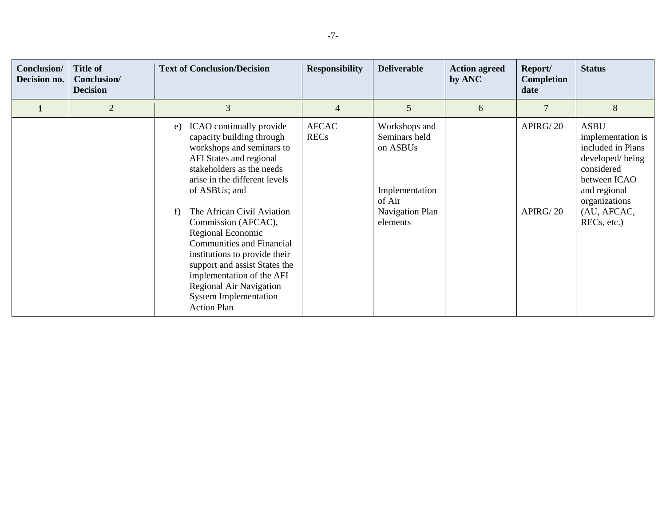| <b>Conclusion/</b><br>Decision no. | <b>Title of</b><br>Conclusion/<br><b>Decision</b> | <b>Text of Conclusion/Decision</b>                                                                                                                                                                                                                                                                                                                                                                                                                                                                     | <b>Responsibility</b>       | <b>Deliverable</b>                                                                                    | <b>Action agreed</b><br>by ANC | Report/<br>Completion<br>date | <b>Status</b>                                                                                                                                                         |
|------------------------------------|---------------------------------------------------|--------------------------------------------------------------------------------------------------------------------------------------------------------------------------------------------------------------------------------------------------------------------------------------------------------------------------------------------------------------------------------------------------------------------------------------------------------------------------------------------------------|-----------------------------|-------------------------------------------------------------------------------------------------------|--------------------------------|-------------------------------|-----------------------------------------------------------------------------------------------------------------------------------------------------------------------|
|                                    | $\overline{2}$                                    | 3                                                                                                                                                                                                                                                                                                                                                                                                                                                                                                      | 4                           | 5                                                                                                     | 6                              |                               | 8                                                                                                                                                                     |
|                                    |                                                   | ICAO continually provide<br>e)<br>capacity building through<br>workshops and seminars to<br>AFI States and regional<br>stakeholders as the needs<br>arise in the different levels<br>of ASBUs; and<br>The African Civil Aviation<br>f)<br>Commission (AFCAC),<br>Regional Economic<br><b>Communities and Financial</b><br>institutions to provide their<br>support and assist States the<br>implementation of the AFI<br>Regional Air Navigation<br><b>System Implementation</b><br><b>Action Plan</b> | <b>AFCAC</b><br><b>RECs</b> | Workshops and<br>Seminars held<br>on ASBUs<br>Implementation<br>of Air<br>Navigation Plan<br>elements |                                | APIRG/20<br>APIRG/20          | <b>ASBU</b><br>implementation is<br>included in Plans<br>developed/being<br>considered<br>between ICAO<br>and regional<br>organizations<br>(AU, AFCAC,<br>RECs, etc.) |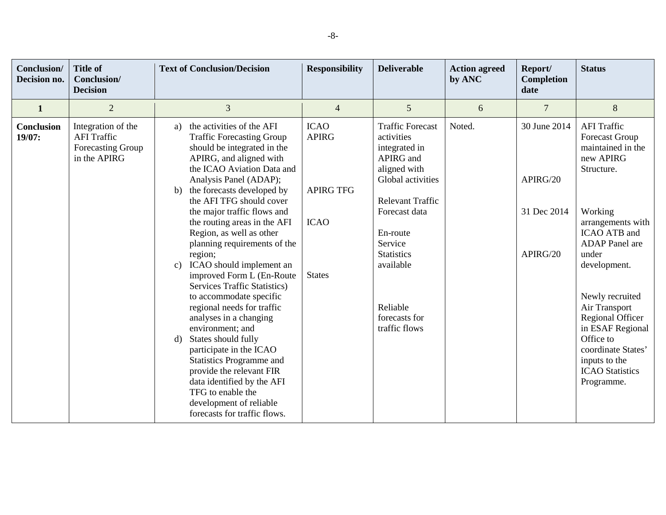| Conclusion/<br>Decision no. | <b>Title of</b><br>Conclusion/<br><b>Decision</b>                             | <b>Text of Conclusion/Decision</b>                                                                                                                                                                                                                                                                                                                                                                                                                            | <b>Responsibility</b>                                          | <b>Deliverable</b>                                                                                                                                                          | <b>Action agreed</b><br>by ANC | Report/<br>Completion<br>date           | <b>Status</b>                                                                                                                                                                                        |
|-----------------------------|-------------------------------------------------------------------------------|---------------------------------------------------------------------------------------------------------------------------------------------------------------------------------------------------------------------------------------------------------------------------------------------------------------------------------------------------------------------------------------------------------------------------------------------------------------|----------------------------------------------------------------|-----------------------------------------------------------------------------------------------------------------------------------------------------------------------------|--------------------------------|-----------------------------------------|------------------------------------------------------------------------------------------------------------------------------------------------------------------------------------------------------|
| $\mathbf{1}$                | $\overline{2}$                                                                | 3                                                                                                                                                                                                                                                                                                                                                                                                                                                             | $\overline{4}$                                                 | 5                                                                                                                                                                           | 6                              | $\overline{7}$                          | 8                                                                                                                                                                                                    |
| Conclusion<br>19/07:        | Integration of the<br><b>AFI</b> Traffic<br>Forecasting Group<br>in the APIRG | the activities of the AFI<br>a)<br><b>Traffic Forecasting Group</b><br>should be integrated in the<br>APIRG, and aligned with<br>the ICAO Aviation Data and<br>Analysis Panel (ADAP);<br>the forecasts developed by<br>b)<br>the AFI TFG should cover<br>the major traffic flows and<br>the routing areas in the AFI<br>Region, as well as other<br>planning requirements of the                                                                              | <b>ICAO</b><br><b>APIRG</b><br><b>APIRG TFG</b><br><b>ICAO</b> | <b>Traffic Forecast</b><br>activities<br>integrated in<br>APIRG and<br>aligned with<br>Global activities<br><b>Relevant Traffic</b><br>Forecast data<br>En-route<br>Service | Noted.                         | 30 June 2014<br>APIRG/20<br>31 Dec 2014 | <b>AFI</b> Traffic<br><b>Forecast Group</b><br>maintained in the<br>new APIRG<br>Structure.<br>Working<br>arrangements with<br>ICAO ATB and<br><b>ADAP</b> Panel are                                 |
|                             |                                                                               | region;<br>ICAO should implement an<br>c)<br>improved Form L (En-Route<br><b>Services Traffic Statistics</b> )<br>to accommodate specific<br>regional needs for traffic<br>analyses in a changing<br>environment; and<br>States should fully<br>$\mathbf{d}$<br>participate in the ICAO<br>Statistics Programme and<br>provide the relevant FIR<br>data identified by the AFI<br>TFG to enable the<br>development of reliable<br>forecasts for traffic flows. | <b>States</b>                                                  | <b>Statistics</b><br>available<br>Reliable<br>forecasts for<br>traffic flows                                                                                                |                                | APIRG/20                                | under<br>development.<br>Newly recruited<br>Air Transport<br><b>Regional Officer</b><br>in ESAF Regional<br>Office to<br>coordinate States'<br>inputs to the<br><b>ICAO</b> Statistics<br>Programme. |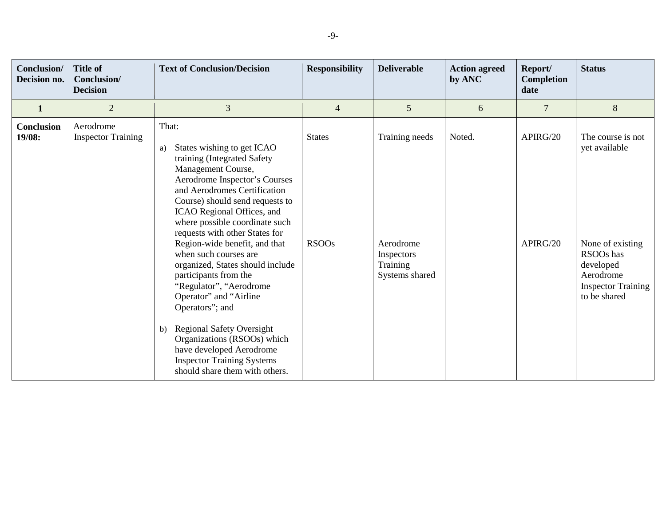| Conclusion/<br>Decision no. | <b>Title of</b><br>Conclusion/<br><b>Decision</b> | <b>Text of Conclusion/Decision</b>                                                                                                                                                                                                                                                                                                                                                                                                                                                                                                                                                                                                                                              | <b>Responsibility</b>         | <b>Deliverable</b>                                                      | <b>Action agreed</b><br>by ANC | Report/<br><b>Completion</b><br>date | <b>Status</b>                                                                                                                              |
|-----------------------------|---------------------------------------------------|---------------------------------------------------------------------------------------------------------------------------------------------------------------------------------------------------------------------------------------------------------------------------------------------------------------------------------------------------------------------------------------------------------------------------------------------------------------------------------------------------------------------------------------------------------------------------------------------------------------------------------------------------------------------------------|-------------------------------|-------------------------------------------------------------------------|--------------------------------|--------------------------------------|--------------------------------------------------------------------------------------------------------------------------------------------|
| 1                           | $\overline{2}$                                    | 3                                                                                                                                                                                                                                                                                                                                                                                                                                                                                                                                                                                                                                                                               | $\overline{4}$                | 5                                                                       | 6                              | $\overline{7}$                       | 8                                                                                                                                          |
| Conclusion<br>19/08:        | Aerodrome<br><b>Inspector Training</b>            | That:<br>States wishing to get ICAO<br>a)<br>training (Integrated Safety<br>Management Course,<br>Aerodrome Inspector's Courses<br>and Aerodromes Certification<br>Course) should send requests to<br>ICAO Regional Offices, and<br>where possible coordinate such<br>requests with other States for<br>Region-wide benefit, and that<br>when such courses are<br>organized, States should include<br>participants from the<br>"Regulator", "Aerodrome<br>Operator" and "Airline<br>Operators"; and<br><b>Regional Safety Oversight</b><br>b)<br>Organizations (RSOOs) which<br>have developed Aerodrome<br><b>Inspector Training Systems</b><br>should share them with others. | <b>States</b><br><b>RSOOs</b> | Training needs<br>Aerodrome<br>Inspectors<br>Training<br>Systems shared | Noted.                         | APIRG/20<br>APIRG/20                 | The course is not<br>yet available<br>None of existing<br>RSOOs has<br>developed<br>Aerodrome<br><b>Inspector Training</b><br>to be shared |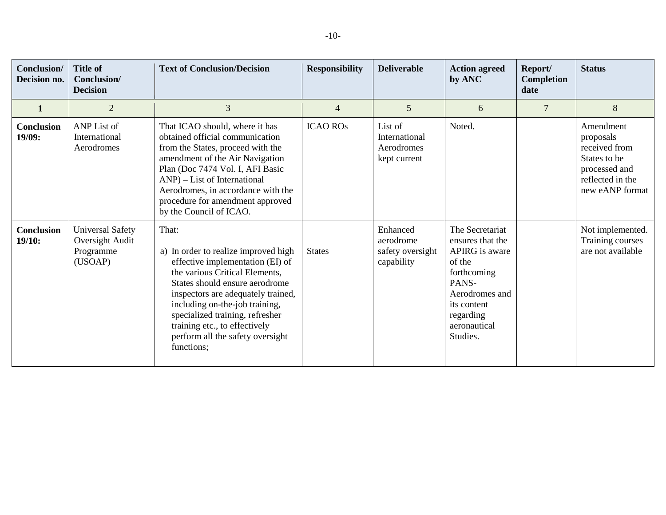| Conclusion/<br>Decision no. | <b>Title of</b><br>Conclusion/<br><b>Decision</b>                  | <b>Text of Conclusion/Decision</b>                                                                                                                                                                                                                                                                                                                  | <b>Responsibility</b> | <b>Deliverable</b>                                      | <b>Action agreed</b><br>by ANC                                                                                                                                    | Report/<br>Completion<br>date | <b>Status</b>                                                                                                   |
|-----------------------------|--------------------------------------------------------------------|-----------------------------------------------------------------------------------------------------------------------------------------------------------------------------------------------------------------------------------------------------------------------------------------------------------------------------------------------------|-----------------------|---------------------------------------------------------|-------------------------------------------------------------------------------------------------------------------------------------------------------------------|-------------------------------|-----------------------------------------------------------------------------------------------------------------|
|                             | $\overline{2}$                                                     | 3                                                                                                                                                                                                                                                                                                                                                   | $\overline{4}$        | 5                                                       | 6                                                                                                                                                                 | $\overline{7}$                | 8                                                                                                               |
| <b>Conclusion</b><br>19/09: | ANP List of<br>International<br>Aerodromes                         | That ICAO should, where it has<br>obtained official communication<br>from the States, proceed with the<br>amendment of the Air Navigation<br>Plan (Doc 7474 Vol. I, AFI Basic<br>$AND$ ) – List of International<br>Aerodromes, in accordance with the<br>procedure for amendment approved<br>by the Council of ICAO.                               | <b>ICAO ROS</b>       | List of<br>International<br>Aerodromes<br>kept current  | Noted.                                                                                                                                                            |                               | Amendment<br>proposals<br>received from<br>States to be<br>processed and<br>reflected in the<br>new eANP format |
| <b>Conclusion</b><br>19/10: | <b>Universal Safety</b><br>Oversight Audit<br>Programme<br>(USOAP) | That:<br>a) In order to realize improved high<br>effective implementation (EI) of<br>the various Critical Elements,<br>States should ensure aerodrome<br>inspectors are adequately trained,<br>including on-the-job training,<br>specialized training, refresher<br>training etc., to effectively<br>perform all the safety oversight<br>functions; | <b>States</b>         | Enhanced<br>aerodrome<br>safety oversight<br>capability | The Secretariat<br>ensures that the<br>APIRG is aware<br>of the<br>forthcoming<br>PANS-<br>Aerodromes and<br>its content<br>regarding<br>aeronautical<br>Studies. |                               | Not implemented.<br>Training courses<br>are not available                                                       |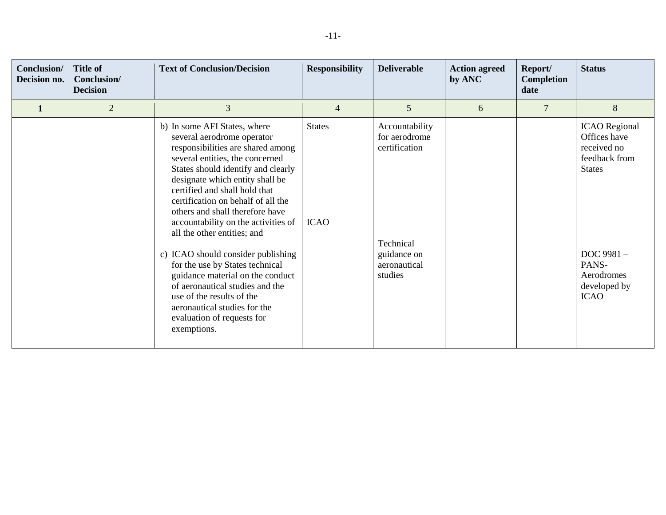| Conclusion/<br>Decision no. | <b>Title of</b><br>Conclusion/<br><b>Decision</b> | <b>Text of Conclusion/Decision</b>                                                                                                                                                                                                                                                                                                                                                                                                                                                                                                                                       | <b>Responsibility</b>        | <b>Deliverable</b>                                                                                      | <b>Action agreed</b><br>by ANC | Report/<br>Completion<br>date | <b>Status</b>                                                                                                                                            |
|-----------------------------|---------------------------------------------------|--------------------------------------------------------------------------------------------------------------------------------------------------------------------------------------------------------------------------------------------------------------------------------------------------------------------------------------------------------------------------------------------------------------------------------------------------------------------------------------------------------------------------------------------------------------------------|------------------------------|---------------------------------------------------------------------------------------------------------|--------------------------------|-------------------------------|----------------------------------------------------------------------------------------------------------------------------------------------------------|
| $\mathbf{1}$                | $\overline{2}$                                    | $\mathfrak{Z}$                                                                                                                                                                                                                                                                                                                                                                                                                                                                                                                                                           | $\overline{4}$               | 5                                                                                                       | 6                              | $\overline{7}$                | 8                                                                                                                                                        |
|                             |                                                   | b) In some AFI States, where<br>several aerodrome operator<br>responsibilities are shared among<br>several entities, the concerned<br>States should identify and clearly<br>designate which entity shall be<br>certified and shall hold that<br>certification on behalf of all the<br>others and shall therefore have<br>accountability on the activities of<br>all the other entities; and<br>c) ICAO should consider publishing<br>for the use by States technical<br>guidance material on the conduct<br>of aeronautical studies and the<br>use of the results of the | <b>States</b><br><b>ICAO</b> | Accountability<br>for aerodrome<br>certification<br>Technical<br>guidance on<br>aeronautical<br>studies |                                |                               | <b>ICAO</b> Regional<br>Offices have<br>received no<br>feedback from<br><b>States</b><br>DOC 9981-<br>PANS-<br>Aerodromes<br>developed by<br><b>ICAO</b> |
|                             |                                                   | aeronautical studies for the<br>evaluation of requests for<br>exemptions.                                                                                                                                                                                                                                                                                                                                                                                                                                                                                                |                              |                                                                                                         |                                |                               |                                                                                                                                                          |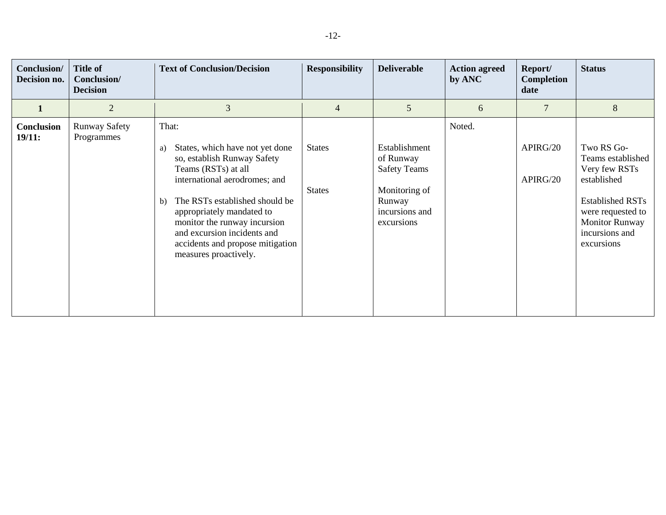| Conclusion/<br>Decision no. | <b>Title of</b><br>Conclusion/<br><b>Decision</b> | <b>Text of Conclusion/Decision</b>                                                                                                                                                                                                                                                                                                     | <b>Responsibility</b>          | <b>Deliverable</b>                                                                                           | <b>Action agreed</b><br>by ANC | Report/<br>Completion<br>date | <b>Status</b>                                                                                                                                                            |
|-----------------------------|---------------------------------------------------|----------------------------------------------------------------------------------------------------------------------------------------------------------------------------------------------------------------------------------------------------------------------------------------------------------------------------------------|--------------------------------|--------------------------------------------------------------------------------------------------------------|--------------------------------|-------------------------------|--------------------------------------------------------------------------------------------------------------------------------------------------------------------------|
| 1                           | $\overline{2}$                                    | 3                                                                                                                                                                                                                                                                                                                                      | $\overline{4}$                 | 5                                                                                                            | 6                              | $\overline{7}$                | 8                                                                                                                                                                        |
| Conclusion<br>19/11:        | <b>Runway Safety</b><br>Programmes                | That:<br>States, which have not yet done<br>a)<br>so, establish Runway Safety<br>Teams (RSTs) at all<br>international aerodromes; and<br>The RSTs established should be<br>b)<br>appropriately mandated to<br>monitor the runway incursion<br>and excursion incidents and<br>accidents and propose mitigation<br>measures proactively. | <b>States</b><br><b>States</b> | Establishment<br>of Runway<br><b>Safety Teams</b><br>Monitoring of<br>Runway<br>incursions and<br>excursions | Noted.                         | APIRG/20<br>APIRG/20          | Two RS Go-<br>Teams established<br>Very few RSTs<br>established<br><b>Established RSTs</b><br>were requested to<br><b>Monitor Runway</b><br>incursions and<br>excursions |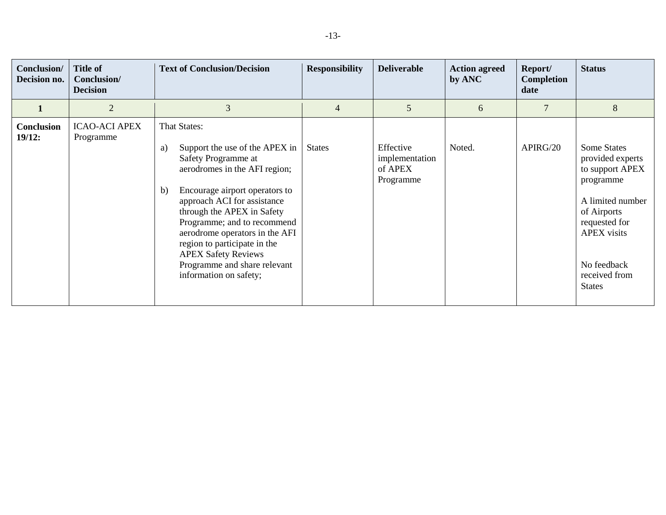| Conclusion/<br>Decision no. | <b>Title of</b><br>Conclusion/<br><b>Decision</b> | <b>Text of Conclusion/Decision</b>                                                                                                                                                                                                                                                                                                                                                                                 | <b>Responsibility</b> | <b>Deliverable</b>                                  | <b>Action agreed</b><br>by ANC | Report/<br>Completion<br>date | <b>Status</b>                                                                                                                                                                                     |
|-----------------------------|---------------------------------------------------|--------------------------------------------------------------------------------------------------------------------------------------------------------------------------------------------------------------------------------------------------------------------------------------------------------------------------------------------------------------------------------------------------------------------|-----------------------|-----------------------------------------------------|--------------------------------|-------------------------------|---------------------------------------------------------------------------------------------------------------------------------------------------------------------------------------------------|
|                             | $\overline{2}$                                    | 3                                                                                                                                                                                                                                                                                                                                                                                                                  | $\overline{4}$        | 5                                                   | 6                              | 7                             | 8                                                                                                                                                                                                 |
| Conclusion<br>19/12:        | <b>ICAO-ACI APEX</b><br>Programme                 | That States:<br>Support the use of the APEX in $\vert$<br>a)<br>Safety Programme at<br>aerodromes in the AFI region;<br>Encourage airport operators to<br>b)<br>approach ACI for assistance<br>through the APEX in Safety<br>Programme; and to recommend<br>aerodrome operators in the AFI<br>region to participate in the<br><b>APEX Safety Reviews</b><br>Programme and share relevant<br>information on safety; | <b>States</b>         | Effective<br>implementation<br>of APEX<br>Programme | Noted.                         | APIRG/20                      | <b>Some States</b><br>provided experts<br>to support APEX<br>programme<br>A limited number<br>of Airports<br>requested for<br><b>APEX</b> visits<br>No feedback<br>received from<br><b>States</b> |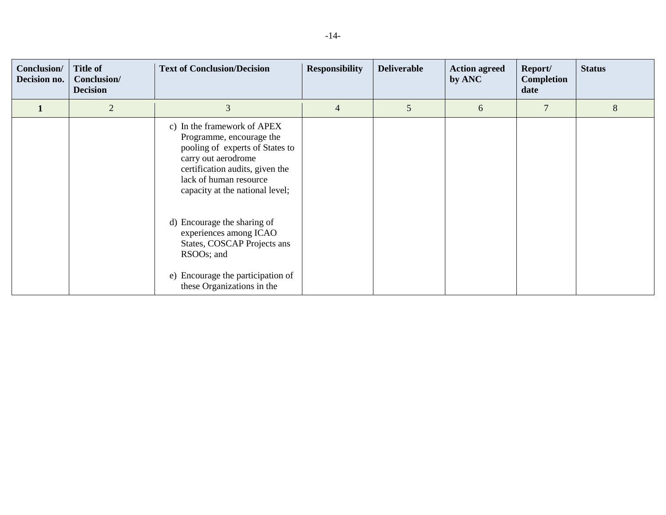| Conclusion/<br>Decision no. | <b>Title of</b><br>Conclusion/<br><b>Decision</b> | <b>Text of Conclusion/Decision</b>                                                                                                                                                                                | <b>Responsibility</b> | <b>Deliverable</b> | <b>Action agreed</b><br>by ANC | Report/<br>Completion<br>date | <b>Status</b> |
|-----------------------------|---------------------------------------------------|-------------------------------------------------------------------------------------------------------------------------------------------------------------------------------------------------------------------|-----------------------|--------------------|--------------------------------|-------------------------------|---------------|
|                             | $\overline{2}$                                    | 3                                                                                                                                                                                                                 | $\overline{4}$        | 5                  | 6                              | 7                             | 8             |
|                             |                                                   | c) In the framework of APEX<br>Programme, encourage the<br>pooling of experts of States to<br>carry out aerodrome<br>certification audits, given the<br>lack of human resource<br>capacity at the national level; |                       |                    |                                |                               |               |
|                             |                                                   | d) Encourage the sharing of<br>experiences among ICAO<br>States, COSCAP Projects ans<br>RSOOs; and<br>e) Encourage the participation of<br>these Organizations in the                                             |                       |                    |                                |                               |               |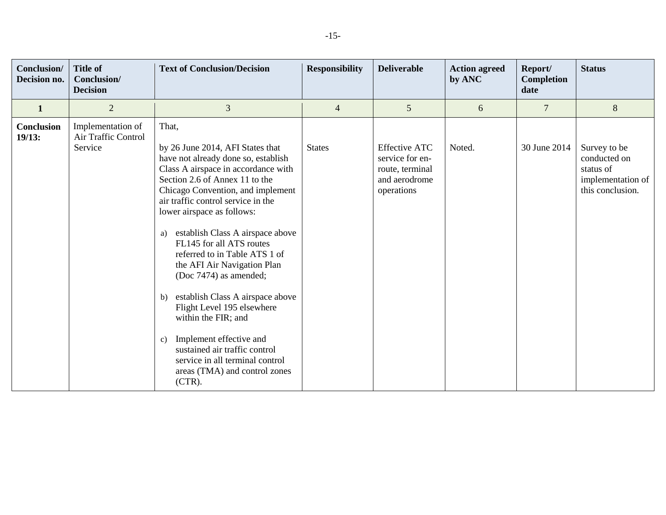| Conclusion/<br>Decision no. | <b>Title of</b><br>Conclusion/<br><b>Decision</b>   | <b>Text of Conclusion/Decision</b>                                                                                                                                                                                                                                                                                                                                                                                                                                                                                                                                                                                                                                                | <b>Responsibility</b> | <b>Deliverable</b>                                                                        | <b>Action agreed</b><br>by ANC | Report/<br>Completion<br>date | <b>Status</b>                                                                      |
|-----------------------------|-----------------------------------------------------|-----------------------------------------------------------------------------------------------------------------------------------------------------------------------------------------------------------------------------------------------------------------------------------------------------------------------------------------------------------------------------------------------------------------------------------------------------------------------------------------------------------------------------------------------------------------------------------------------------------------------------------------------------------------------------------|-----------------------|-------------------------------------------------------------------------------------------|--------------------------------|-------------------------------|------------------------------------------------------------------------------------|
| $\mathbf{1}$                | 2                                                   | 3                                                                                                                                                                                                                                                                                                                                                                                                                                                                                                                                                                                                                                                                                 | $\overline{4}$        | 5                                                                                         | 6                              | $\overline{7}$                | 8                                                                                  |
| Conclusion<br>19/13:        | Implementation of<br>Air Traffic Control<br>Service | That,<br>by 26 June 2014, AFI States that<br>have not already done so, establish<br>Class A airspace in accordance with<br>Section 2.6 of Annex 11 to the<br>Chicago Convention, and implement<br>air traffic control service in the<br>lower airspace as follows:<br>establish Class A airspace above<br>a)<br>FL145 for all ATS routes<br>referred to in Table ATS 1 of<br>the AFI Air Navigation Plan<br>(Doc 7474) as amended;<br>establish Class A airspace above<br>b)<br>Flight Level 195 elsewhere<br>within the FIR; and<br>Implement effective and<br>c)<br>sustained air traffic control<br>service in all terminal control<br>areas (TMA) and control zones<br>(CTR). | <b>States</b>         | <b>Effective ATC</b><br>service for en-<br>route, terminal<br>and aerodrome<br>operations | Noted.                         | 30 June 2014                  | Survey to be<br>conducted on<br>status of<br>implementation of<br>this conclusion. |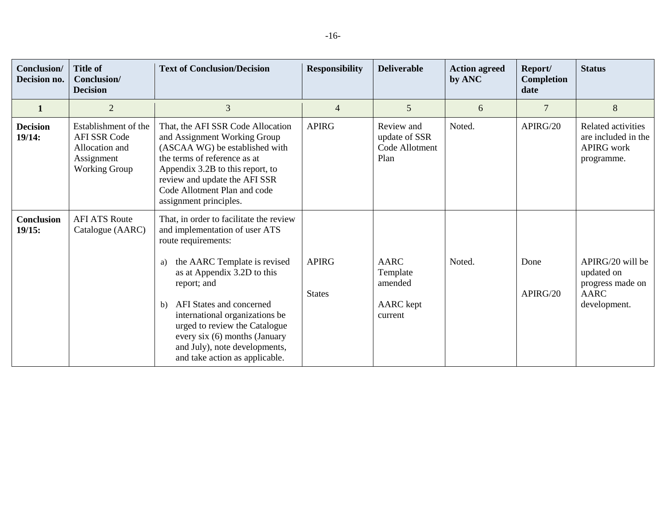| <b>Conclusion</b> /<br>Decision no. | <b>Title of</b><br>Conclusion/<br><b>Decision</b>                                                   | <b>Text of Conclusion/Decision</b>                                                                                                                                                                                                                                                                                                                                                             | <b>Responsibility</b>         | <b>Deliverable</b>                                                | <b>Action agreed</b><br>by ANC | Report/<br>Completion<br>date | <b>Status</b>                                                                     |
|-------------------------------------|-----------------------------------------------------------------------------------------------------|------------------------------------------------------------------------------------------------------------------------------------------------------------------------------------------------------------------------------------------------------------------------------------------------------------------------------------------------------------------------------------------------|-------------------------------|-------------------------------------------------------------------|--------------------------------|-------------------------------|-----------------------------------------------------------------------------------|
|                                     | $\overline{2}$                                                                                      | 3                                                                                                                                                                                                                                                                                                                                                                                              | $\overline{4}$                | 5                                                                 | 6                              | 7                             | 8                                                                                 |
| <b>Decision</b><br>19/14:           | Establishment of the<br><b>AFI SSR Code</b><br>Allocation and<br>Assignment<br><b>Working Group</b> | That, the AFI SSR Code Allocation<br>and Assignment Working Group<br>(ASCAA WG) be established with<br>the terms of reference as at<br>Appendix 3.2B to this report, to<br>review and update the AFI SSR<br>Code Allotment Plan and code<br>assignment principles.                                                                                                                             | <b>APIRG</b>                  | Review and<br>update of SSR<br>Code Allotment<br>Plan             | Noted.                         | APIRG/20                      | Related activities<br>are included in the<br><b>APIRG</b> work<br>programme.      |
| <b>Conclusion</b><br>19/15:         | <b>AFI ATS Route</b><br>Catalogue (AARC)                                                            | That, in order to facilitate the review<br>and implementation of user ATS<br>route requirements:<br>the AARC Template is revised<br>a)<br>as at Appendix 3.2D to this<br>report; and<br>AFI States and concerned<br>b)<br>international organizations be<br>urged to review the Catalogue<br>every $six(6)$ months (January<br>and July), note developments,<br>and take action as applicable. | <b>APIRG</b><br><b>States</b> | <b>AARC</b><br>Template<br>amended<br><b>AARC</b> kept<br>current | Noted.                         | Done<br>APIRG/20              | APIRG/20 will be<br>updated on<br>progress made on<br><b>AARC</b><br>development. |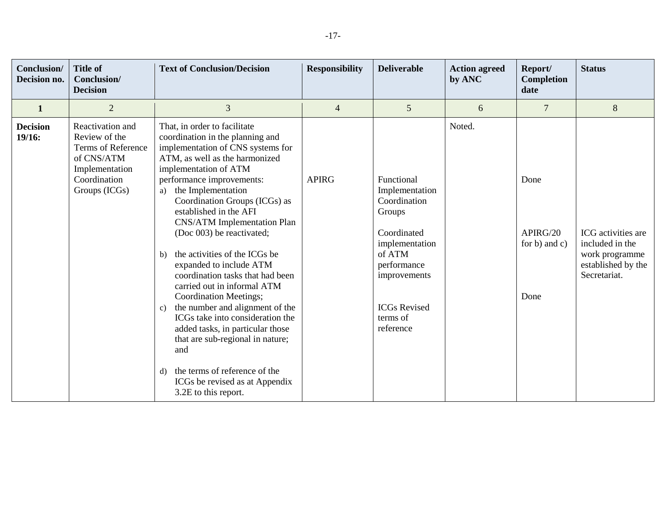| Conclusion/<br>Decision no. | <b>Title of</b><br>Conclusion/<br><b>Decision</b>                                                                        | <b>Text of Conclusion/Decision</b>                                                                                                                                                                                                                                                                                                                                                                                                                                                                                                                                                                                                                                                                                                                                                                         | <b>Responsibility</b> | <b>Deliverable</b>                                                                                                                                                               | <b>Action agreed</b><br>by ANC | Report/<br>Completion<br>date             | <b>Status</b>                                                                                 |
|-----------------------------|--------------------------------------------------------------------------------------------------------------------------|------------------------------------------------------------------------------------------------------------------------------------------------------------------------------------------------------------------------------------------------------------------------------------------------------------------------------------------------------------------------------------------------------------------------------------------------------------------------------------------------------------------------------------------------------------------------------------------------------------------------------------------------------------------------------------------------------------------------------------------------------------------------------------------------------------|-----------------------|----------------------------------------------------------------------------------------------------------------------------------------------------------------------------------|--------------------------------|-------------------------------------------|-----------------------------------------------------------------------------------------------|
| 1                           | $\overline{2}$                                                                                                           | 3                                                                                                                                                                                                                                                                                                                                                                                                                                                                                                                                                                                                                                                                                                                                                                                                          | $\overline{4}$        | 5                                                                                                                                                                                | 6                              | $\overline{7}$                            | $8\,$                                                                                         |
| <b>Decision</b><br>19/16:   | Reactivation and<br>Review of the<br>Terms of Reference<br>of CNS/ATM<br>Implementation<br>Coordination<br>Groups (ICGs) | That, in order to facilitate<br>coordination in the planning and<br>implementation of CNS systems for<br>ATM, as well as the harmonized<br>implementation of ATM<br>performance improvements:<br>the Implementation<br>a)<br>Coordination Groups (ICGs) as<br>established in the AFI<br><b>CNS/ATM</b> Implementation Plan<br>(Doc 003) be reactivated;<br>the activities of the ICGs be<br>b)<br>expanded to include ATM<br>coordination tasks that had been<br>carried out in informal ATM<br><b>Coordination Meetings;</b><br>the number and alignment of the<br>$\mathbf{c})$<br>ICGs take into consideration the<br>added tasks, in particular those<br>that are sub-regional in nature;<br>and<br>the terms of reference of the<br>$\rm d$<br>ICGs be revised as at Appendix<br>3.2E to this report. | <b>APIRG</b>          | Functional<br>Implementation<br>Coordination<br>Groups<br>Coordinated<br>implementation<br>of ATM<br>performance<br>improvements<br><b>ICGs Revised</b><br>terms of<br>reference | Noted.                         | Done<br>APIRG/20<br>for b) and c)<br>Done | ICG activities are<br>included in the<br>work programme<br>established by the<br>Secretariat. |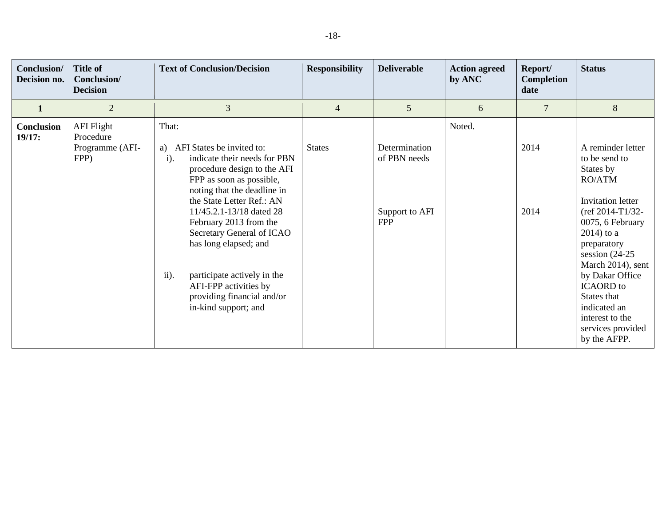| Conclusion/<br>Decision no. | <b>Title of</b><br>Conclusion/<br><b>Decision</b>         | <b>Text of Conclusion/Decision</b>                                                                                                                                                                                                                                                                                                                                                                                                          | <b>Responsibility</b> | <b>Deliverable</b>                                            | <b>Action agreed</b><br>by ANC | Report/<br><b>Completion</b><br>date | <b>Status</b>                                                                                                                                                                                                                                                                                                                                 |
|-----------------------------|-----------------------------------------------------------|---------------------------------------------------------------------------------------------------------------------------------------------------------------------------------------------------------------------------------------------------------------------------------------------------------------------------------------------------------------------------------------------------------------------------------------------|-----------------------|---------------------------------------------------------------|--------------------------------|--------------------------------------|-----------------------------------------------------------------------------------------------------------------------------------------------------------------------------------------------------------------------------------------------------------------------------------------------------------------------------------------------|
| $\mathbf{1}$                | $\overline{2}$                                            | 3                                                                                                                                                                                                                                                                                                                                                                                                                                           | $\overline{4}$        | 5                                                             | 6                              | $\overline{7}$                       | 8                                                                                                                                                                                                                                                                                                                                             |
| Conclusion<br>19/17:        | <b>AFI</b> Flight<br>Procedure<br>Programme (AFI-<br>FPP) | That:<br>AFI States be invited to:<br>a)<br>indicate their needs for PBN<br>$i$ ).<br>procedure design to the AFI<br>FPP as soon as possible,<br>noting that the deadline in<br>the State Letter Ref.: AN<br>11/45.2.1-13/18 dated 28<br>February 2013 from the<br>Secretary General of ICAO<br>has long elapsed; and<br>ii).<br>participate actively in the<br>AFI-FPP activities by<br>providing financial and/or<br>in-kind support; and | <b>States</b>         | Determination<br>of PBN needs<br>Support to AFI<br><b>FPP</b> | Noted.                         | 2014<br>2014                         | A reminder letter<br>to be send to<br>States by<br><b>RO/ATM</b><br><b>Invitation</b> letter<br>$ref 2014-T1/32-$<br>0075, 6 February<br>$2014$ ) to a<br>preparatory<br>session $(24-25)$<br>March 2014), sent<br>by Dakar Office<br><b>ICAORD</b> to<br>States that<br>indicated an<br>interest to the<br>services provided<br>by the AFPP. |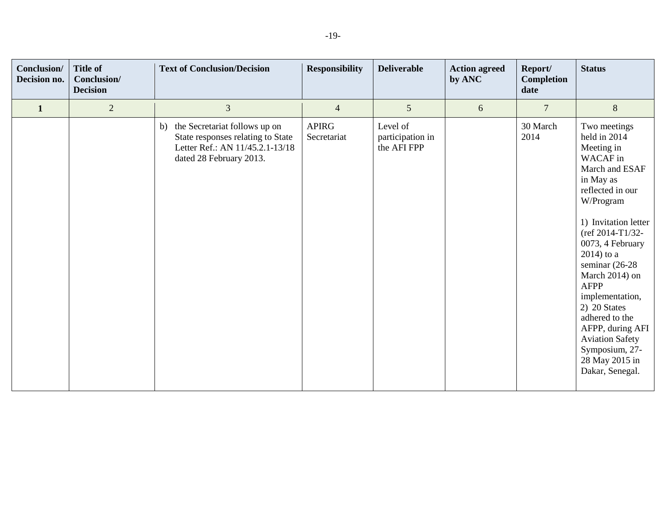| Conclusion/<br>Decision no. | <b>Title of</b><br>Conclusion/<br><b>Decision</b> | <b>Text of Conclusion/Decision</b>                                                                                                     | <b>Responsibility</b>       | <b>Deliverable</b>                          | <b>Action agreed</b><br>by ANC | Report/<br>Completion<br>date | <b>Status</b>                                                                                                                                                                                                                                                                                                                                                                                                            |
|-----------------------------|---------------------------------------------------|----------------------------------------------------------------------------------------------------------------------------------------|-----------------------------|---------------------------------------------|--------------------------------|-------------------------------|--------------------------------------------------------------------------------------------------------------------------------------------------------------------------------------------------------------------------------------------------------------------------------------------------------------------------------------------------------------------------------------------------------------------------|
| $\mathbf{1}$                | $\overline{2}$                                    | 3                                                                                                                                      | $\overline{4}$              | 5                                           | 6                              | $\overline{7}$                | $\,8\,$                                                                                                                                                                                                                                                                                                                                                                                                                  |
|                             |                                                   | the Secretariat follows up on<br>b)<br>State responses relating to State<br>Letter Ref.: AN 11/45.2.1-13/18<br>dated 28 February 2013. | <b>APIRG</b><br>Secretariat | Level of<br>participation in<br>the AFI FPP |                                | 30 March<br>2014              | Two meetings<br>held in 2014<br>Meeting in<br>WACAF in<br>March and ESAF<br>in May as<br>reflected in our<br>W/Program<br>1) Invitation letter<br>$ref 2014-T1/32-$<br>0073, 4 February<br>$2014$ ) to a<br>seminar $(26-28)$<br>March 2014) on<br><b>AFPP</b><br>implementation,<br>2) 20 States<br>adhered to the<br>AFPP, during AFI<br><b>Aviation Safety</b><br>Symposium, 27-<br>28 May 2015 in<br>Dakar, Senegal. |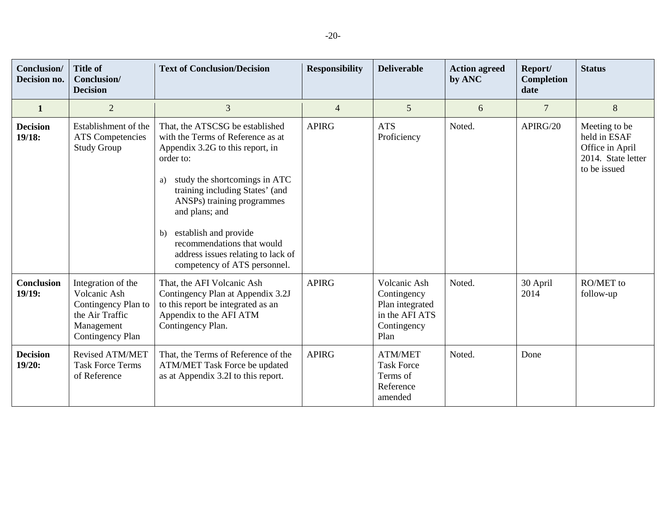| Conclusion/<br>Decision no. | <b>Title of</b><br>Conclusion/<br><b>Decision</b>                                                              | <b>Text of Conclusion/Decision</b>                                                                                                                                                                                                                                                                                                                                              | <b>Responsibility</b> | <b>Deliverable</b>                                                                      | <b>Action agreed</b><br>by ANC | Report/<br>Completion<br>date | <b>Status</b>                                                                          |
|-----------------------------|----------------------------------------------------------------------------------------------------------------|---------------------------------------------------------------------------------------------------------------------------------------------------------------------------------------------------------------------------------------------------------------------------------------------------------------------------------------------------------------------------------|-----------------------|-----------------------------------------------------------------------------------------|--------------------------------|-------------------------------|----------------------------------------------------------------------------------------|
| $\mathbf{1}$                | $\overline{2}$                                                                                                 | 3                                                                                                                                                                                                                                                                                                                                                                               | $\overline{4}$        | 5                                                                                       | 6                              | $\overline{7}$                | $8\,$                                                                                  |
| <b>Decision</b><br>19/18:   | Establishment of the<br><b>ATS</b> Competencies<br><b>Study Group</b>                                          | That, the ATSCSG be established<br>with the Terms of Reference as at<br>Appendix 3.2G to this report, in<br>order to:<br>a) study the shortcomings in ATC<br>training including States' (and<br>ANSPs) training programmes<br>and plans; and<br>establish and provide<br>b)<br>recommendations that would<br>address issues relating to lack of<br>competency of ATS personnel. | <b>APIRG</b>          | <b>ATS</b><br>Proficiency                                                               | Noted.                         | APIRG/20                      | Meeting to be<br>held in ESAF<br>Office in April<br>2014. State letter<br>to be issued |
| <b>Conclusion</b><br>19/19: | Integration of the<br>Volcanic Ash<br>Contingency Plan to<br>the Air Traffic<br>Management<br>Contingency Plan | That, the AFI Volcanic Ash<br>Contingency Plan at Appendix 3.2J<br>to this report be integrated as an<br>Appendix to the AFI ATM<br>Contingency Plan.                                                                                                                                                                                                                           | <b>APIRG</b>          | Volcanic Ash<br>Contingency<br>Plan integrated<br>in the AFI ATS<br>Contingency<br>Plan | Noted.                         | 30 April<br>2014              | RO/MET to<br>follow-up                                                                 |
| <b>Decision</b><br>19/20:   | <b>Revised ATM/MET</b><br><b>Task Force Terms</b><br>of Reference                                              | That, the Terms of Reference of the<br>ATM/MET Task Force be updated<br>as at Appendix 3.2I to this report.                                                                                                                                                                                                                                                                     | <b>APIRG</b>          | <b>ATM/MET</b><br><b>Task Force</b><br>Terms of<br>Reference<br>amended                 | Noted.                         | Done                          |                                                                                        |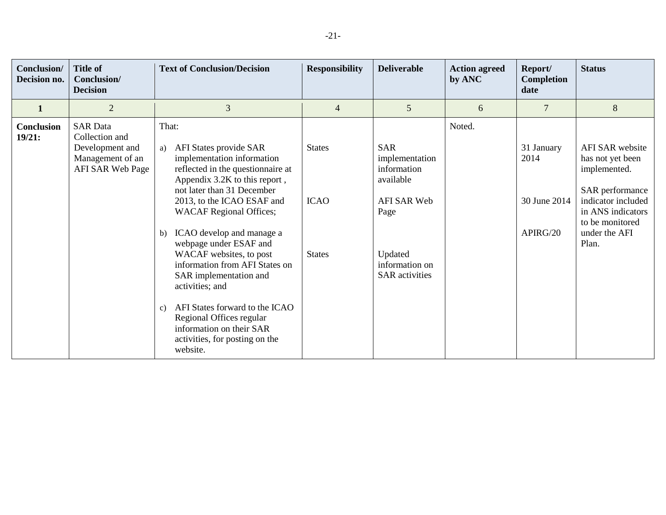| Conclusion/<br>Decision no. | <b>Title of</b><br>Conclusion/<br><b>Decision</b>                                            | <b>Text of Conclusion/Decision</b>                                                                                                                                                                                                                                                                                                                                                                                                                                                                                                                                       | <b>Responsibility</b>                         | <b>Deliverable</b>                                                                                                                    | <b>Action agreed</b><br>by ANC | Report/<br>Completion<br>date                  | <b>Status</b>                                                                                                                                                  |
|-----------------------------|----------------------------------------------------------------------------------------------|--------------------------------------------------------------------------------------------------------------------------------------------------------------------------------------------------------------------------------------------------------------------------------------------------------------------------------------------------------------------------------------------------------------------------------------------------------------------------------------------------------------------------------------------------------------------------|-----------------------------------------------|---------------------------------------------------------------------------------------------------------------------------------------|--------------------------------|------------------------------------------------|----------------------------------------------------------------------------------------------------------------------------------------------------------------|
| $\mathbf{1}$                | $\overline{2}$                                                                               | 3                                                                                                                                                                                                                                                                                                                                                                                                                                                                                                                                                                        | 4                                             | 5 <sup>5</sup>                                                                                                                        | 6                              | $\overline{7}$                                 | 8                                                                                                                                                              |
| Conclusion<br>19/21:        | <b>SAR Data</b><br>Collection and<br>Development and<br>Management of an<br>AFI SAR Web Page | That:<br>AFI States provide SAR<br>a)<br>implementation information<br>reflected in the questionnaire at<br>Appendix 3.2K to this report,<br>not later than 31 December<br>2013, to the ICAO ESAF and<br><b>WACAF Regional Offices;</b><br>ICAO develop and manage a<br>b)<br>webpage under ESAF and<br>WACAF websites, to post<br>information from AFI States on<br>SAR implementation and<br>activities; and<br>AFI States forward to the ICAO<br>$\mathbf{c}$ )<br>Regional Offices regular<br>information on their SAR<br>activities, for posting on the<br>website. | <b>States</b><br><b>ICAO</b><br><b>States</b> | <b>SAR</b><br>implementation<br>information<br>available<br>AFI SAR Web<br>Page<br>Updated<br>information on<br><b>SAR</b> activities | Noted.                         | 31 January<br>2014<br>30 June 2014<br>APIRG/20 | AFI SAR website<br>has not yet been<br>implemented.<br>SAR performance<br>indicator included<br>in ANS indicators<br>to be monitored<br>under the AFI<br>Plan. |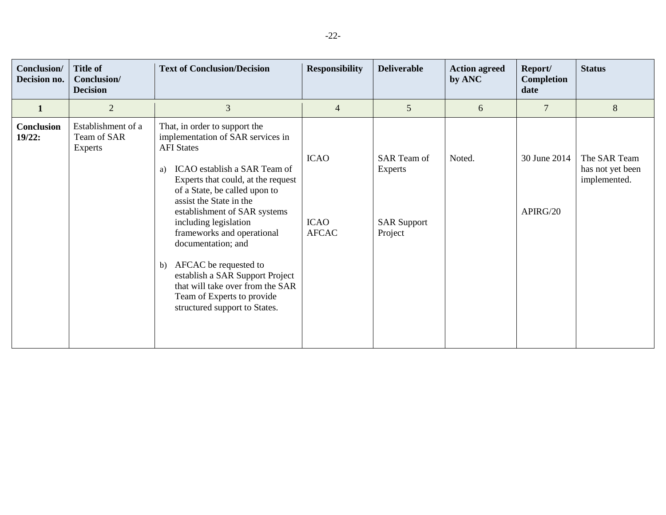| Conclusion/<br>Decision no. | <b>Title of</b><br>Conclusion/<br><b>Decision</b> | <b>Text of Conclusion/Decision</b>                                                                                                                                                                                                                                                                                                                                                                                                                                                                                | <b>Responsibility</b>                      | <b>Deliverable</b>                                                    | <b>Action agreed</b><br>by ANC | Report/<br><b>Completion</b><br>date | <b>Status</b>                                    |
|-----------------------------|---------------------------------------------------|-------------------------------------------------------------------------------------------------------------------------------------------------------------------------------------------------------------------------------------------------------------------------------------------------------------------------------------------------------------------------------------------------------------------------------------------------------------------------------------------------------------------|--------------------------------------------|-----------------------------------------------------------------------|--------------------------------|--------------------------------------|--------------------------------------------------|
| $\mathbf{1}$                | $\overline{2}$                                    | 3                                                                                                                                                                                                                                                                                                                                                                                                                                                                                                                 | 4                                          | 5                                                                     | 6                              | $\overline{7}$                       | $8\,$                                            |
| Conclusion<br>19/22:        | Establishment of a<br>Team of SAR<br>Experts      | That, in order to support the<br>implementation of SAR services in<br><b>AFI</b> States<br>ICAO establish a SAR Team of<br>a)<br>Experts that could, at the request<br>of a State, be called upon to<br>assist the State in the<br>establishment of SAR systems<br>including legislation<br>frameworks and operational<br>documentation; and<br>AFCAC be requested to<br>b)<br>establish a SAR Support Project<br>that will take over from the SAR<br>Team of Experts to provide<br>structured support to States. | <b>ICAO</b><br><b>ICAO</b><br><b>AFCAC</b> | <b>SAR</b> Team of<br><b>Experts</b><br><b>SAR Support</b><br>Project | Noted.                         | 30 June 2014<br>APIRG/20             | The SAR Team<br>has not yet been<br>implemented. |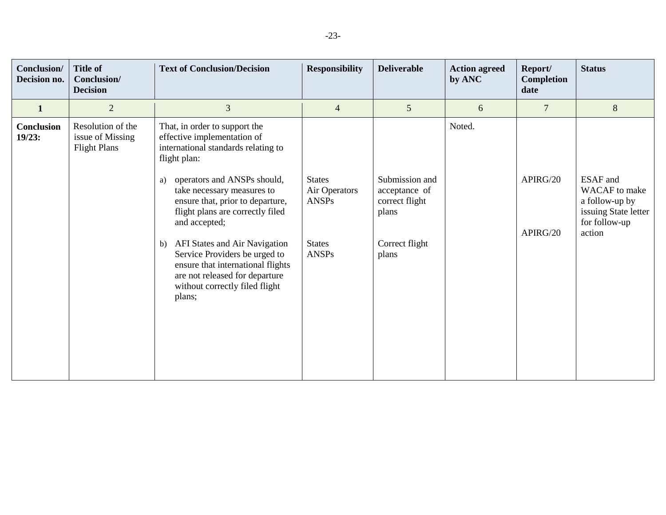| Conclusion/<br>Decision no. | <b>Title of</b><br>Conclusion/<br><b>Decision</b>            | <b>Text of Conclusion/Decision</b>                                                                                                                                                                                                                                                                                                                                                                                                                                         | <b>Responsibility</b>                                                           | <b>Deliverable</b>                                                                    | <b>Action agreed</b><br>by ANC | Report/<br>Completion<br>date | <b>Status</b>                                                                                                |
|-----------------------------|--------------------------------------------------------------|----------------------------------------------------------------------------------------------------------------------------------------------------------------------------------------------------------------------------------------------------------------------------------------------------------------------------------------------------------------------------------------------------------------------------------------------------------------------------|---------------------------------------------------------------------------------|---------------------------------------------------------------------------------------|--------------------------------|-------------------------------|--------------------------------------------------------------------------------------------------------------|
| $\mathbf{1}$                | $\overline{2}$                                               | 3                                                                                                                                                                                                                                                                                                                                                                                                                                                                          | $\overline{4}$                                                                  | $5\overline{)}$                                                                       | 6                              | $\overline{7}$                | 8                                                                                                            |
| <b>Conclusion</b><br>19/23: | Resolution of the<br>issue of Missing<br><b>Flight Plans</b> | That, in order to support the<br>effective implementation of<br>international standards relating to<br>flight plan:<br>operators and ANSPs should,<br>a)<br>take necessary measures to<br>ensure that, prior to departure,<br>flight plans are correctly filed<br>and accepted;<br>AFI States and Air Navigation<br>b)<br>Service Providers be urged to<br>ensure that international flights<br>are not released for departure<br>without correctly filed flight<br>plans; | <b>States</b><br>Air Operators<br><b>ANSPs</b><br><b>States</b><br><b>ANSPs</b> | Submission and<br>acceptance of<br>correct flight<br>plans<br>Correct flight<br>plans | Noted.                         | APIRG/20<br>APIRG/20          | <b>ESAF</b> and<br><b>WACAF</b> to make<br>a follow-up by<br>issuing State letter<br>for follow-up<br>action |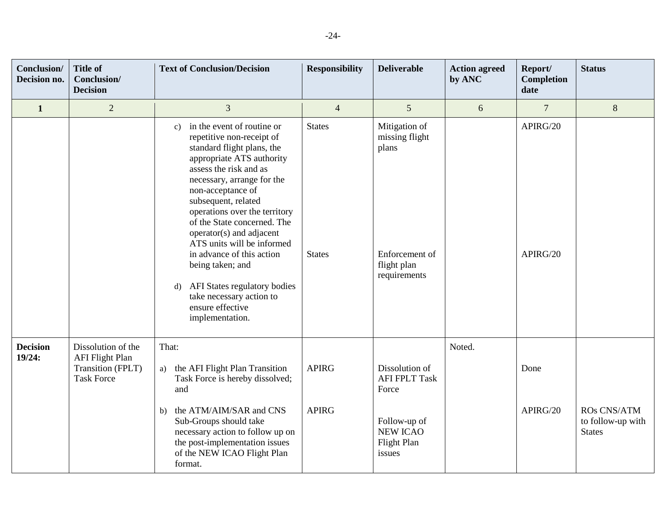| Conclusion/<br>Decision no. | <b>Title of</b><br>Conclusion/<br><b>Decision</b>                                      | <b>Text of Conclusion/Decision</b>                                                                                                                                                                                                                                                                                                                                                                                                                                                                                         | <b>Responsibility</b>          | <b>Deliverable</b>                                                                        | <b>Action agreed</b><br>by ANC | Report/<br>Completion<br>date | <b>Status</b>                                     |
|-----------------------------|----------------------------------------------------------------------------------------|----------------------------------------------------------------------------------------------------------------------------------------------------------------------------------------------------------------------------------------------------------------------------------------------------------------------------------------------------------------------------------------------------------------------------------------------------------------------------------------------------------------------------|--------------------------------|-------------------------------------------------------------------------------------------|--------------------------------|-------------------------------|---------------------------------------------------|
| $\mathbf{1}$                | $\overline{2}$                                                                         | 3                                                                                                                                                                                                                                                                                                                                                                                                                                                                                                                          | $\overline{4}$                 | 5                                                                                         | 6                              | $\overline{7}$                | 8                                                 |
|                             |                                                                                        | in the event of routine or<br>c)<br>repetitive non-receipt of<br>standard flight plans, the<br>appropriate ATS authority<br>assess the risk and as<br>necessary, arrange for the<br>non-acceptance of<br>subsequent, related<br>operations over the territory<br>of the State concerned. The<br>operator(s) and adjacent<br>ATS units will be informed<br>in advance of this action<br>being taken; and<br>AFI States regulatory bodies<br>$\mathbf{d}$<br>take necessary action to<br>ensure effective<br>implementation. | <b>States</b><br><b>States</b> | Mitigation of<br>missing flight<br>plans<br>Enforcement of<br>flight plan<br>requirements |                                | APIRG/20<br>APIRG/20          |                                                   |
| <b>Decision</b><br>19/24:   | Dissolution of the<br><b>AFI Flight Plan</b><br>Transition (FPLT)<br><b>Task Force</b> | That:<br>a) the AFI Flight Plan Transition<br>Task Force is hereby dissolved;<br>and                                                                                                                                                                                                                                                                                                                                                                                                                                       | <b>APIRG</b>                   | Dissolution of<br><b>AFI FPLT Task</b><br>Force                                           | Noted.                         | Done                          |                                                   |
|                             |                                                                                        | the ATM/AIM/SAR and CNS<br>b)<br>Sub-Groups should take<br>necessary action to follow up on<br>the post-implementation issues<br>of the NEW ICAO Flight Plan<br>format.                                                                                                                                                                                                                                                                                                                                                    | <b>APIRG</b>                   | Follow-up of<br><b>NEW ICAO</b><br><b>Flight Plan</b><br>issues                           |                                | APIRG/20                      | ROs CNS/ATM<br>to follow-up with<br><b>States</b> |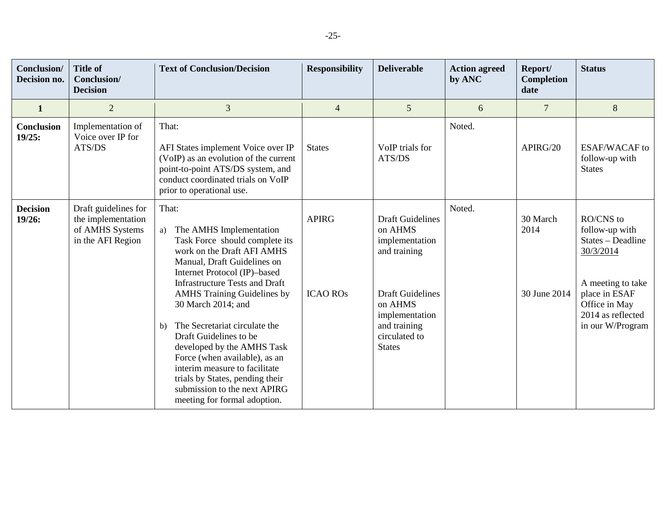| <b>Conclusion</b> /<br>Decision no. | <b>Title of</b><br>Conclusion/<br><b>Decision</b>                                  | <b>Text of Conclusion/Decision</b>                                                                                                                                                                                                                                                                                                     | <b>Responsibility</b> | <b>Deliverable</b>                                                                                     | <b>Action agreed</b><br>by ANC | Report/<br>Completion<br>date | <b>Status</b>                                                                      |
|-------------------------------------|------------------------------------------------------------------------------------|----------------------------------------------------------------------------------------------------------------------------------------------------------------------------------------------------------------------------------------------------------------------------------------------------------------------------------------|-----------------------|--------------------------------------------------------------------------------------------------------|--------------------------------|-------------------------------|------------------------------------------------------------------------------------|
| $\mathbf{1}$                        | $\overline{2}$                                                                     | 3                                                                                                                                                                                                                                                                                                                                      | $\overline{4}$        | 5 <sup>5</sup>                                                                                         | 6                              | $\overline{7}$                | 8                                                                                  |
| Conclusion<br>19/25:                | Implementation of<br>Voice over IP for<br>ATS/DS                                   | That:<br>AFI States implement Voice over IP<br>(VoIP) as an evolution of the current<br>point-to-point ATS/DS system, and<br>conduct coordinated trials on VoIP<br>prior to operational use.                                                                                                                                           | <b>States</b>         | VoIP trials for<br>ATS/DS                                                                              | Noted.                         | APIRG/20                      | <b>ESAF/WACAF</b> to<br>follow-up with<br><b>States</b>                            |
| <b>Decision</b><br>19/26:           | Draft guidelines for<br>the implementation<br>of AMHS Systems<br>in the AFI Region | That:<br>The AMHS Implementation<br>a)<br>Task Force should complete its<br>work on the Draft AFI AMHS<br>Manual, Draft Guidelines on<br>Internet Protocol (IP)-based<br><b>Infrastructure Tests and Draft</b>                                                                                                                         | <b>APIRG</b>          | <b>Draft Guidelines</b><br>on AHMS<br>implementation<br>and training                                   | Noted.                         | 30 March<br>2014              | RO/CNS to<br>follow-up with<br>States - Deadline<br>30/3/2014<br>A meeting to take |
|                                     |                                                                                    | <b>AMHS</b> Training Guidelines by<br>30 March 2014; and<br>The Secretariat circulate the<br>$\mathbf{b}$<br>Draft Guidelines to be<br>developed by the AMHS Task<br>Force (when available), as an<br>interim measure to facilitate<br>trials by States, pending their<br>submission to the next APIRG<br>meeting for formal adoption. | <b>ICAO ROS</b>       | <b>Draft Guidelines</b><br>on AHMS<br>implementation<br>and training<br>circulated to<br><b>States</b> |                                | 30 June 2014                  | place in ESAF<br>Office in May<br>2014 as reflected<br>in our W/Program            |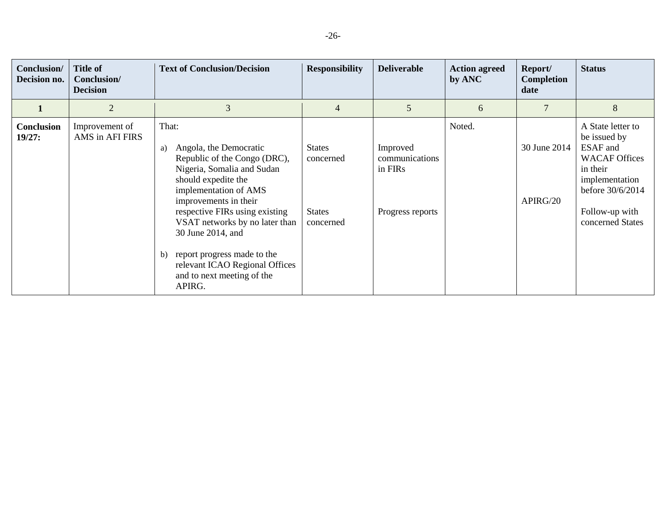| Conclusion/<br>Decision no. | <b>Title of</b><br>Conclusion/<br><b>Decision</b> | <b>Text of Conclusion/Decision</b>                                                                                                                                                                                                                                                                                                                                                   | <b>Responsibility</b>                                    | <b>Deliverable</b>                                        | <b>Action agreed</b><br>by ANC | Report/<br><b>Completion</b><br>date | <b>Status</b>                                                                                                                                                 |
|-----------------------------|---------------------------------------------------|--------------------------------------------------------------------------------------------------------------------------------------------------------------------------------------------------------------------------------------------------------------------------------------------------------------------------------------------------------------------------------------|----------------------------------------------------------|-----------------------------------------------------------|--------------------------------|--------------------------------------|---------------------------------------------------------------------------------------------------------------------------------------------------------------|
|                             | $\overline{2}$                                    | 3                                                                                                                                                                                                                                                                                                                                                                                    | 4                                                        | 5                                                         | 6                              | $\overline{7}$                       | 8                                                                                                                                                             |
| <b>Conclusion</b><br>19/27: | Improvement of<br>AMS in AFI FIRS                 | That:<br>Angola, the Democratic<br>a)<br>Republic of the Congo (DRC),<br>Nigeria, Somalia and Sudan<br>should expedite the<br>implementation of AMS<br>improvements in their<br>respective FIRs using existing<br>VSAT networks by no later than<br>30 June 2014, and<br>report progress made to the<br>b)<br>relevant ICAO Regional Offices<br>and to next meeting of the<br>APIRG. | <b>States</b><br>concerned<br><b>States</b><br>concerned | Improved<br>communications<br>in FIRs<br>Progress reports | Noted.                         | 30 June 2014<br>APIRG/20             | A State letter to<br>be issued by<br>ESAF and<br><b>WACAF Offices</b><br>in their<br>implementation<br>before 30/6/2014<br>Follow-up with<br>concerned States |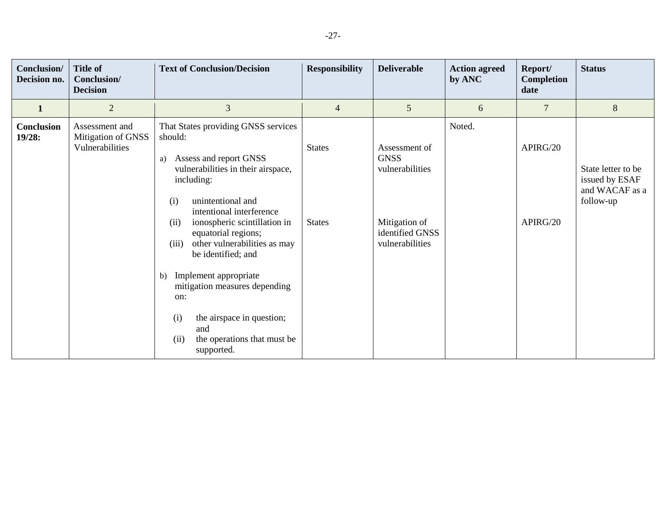| Conclusion/<br>Decision no. | <b>Title of</b><br>Conclusion/<br><b>Decision</b>       | <b>Text of Conclusion/Decision</b>                                                                                                                                                                                                                                                                                                                                                                                                                                                              | <b>Responsibility</b>          | <b>Deliverable</b>                                                                                     | <b>Action agreed</b><br>by ANC | Report/<br>Completion<br>date | <b>Status</b>                                                       |
|-----------------------------|---------------------------------------------------------|-------------------------------------------------------------------------------------------------------------------------------------------------------------------------------------------------------------------------------------------------------------------------------------------------------------------------------------------------------------------------------------------------------------------------------------------------------------------------------------------------|--------------------------------|--------------------------------------------------------------------------------------------------------|--------------------------------|-------------------------------|---------------------------------------------------------------------|
| $\mathbf{1}$                | $\overline{2}$                                          | 3                                                                                                                                                                                                                                                                                                                                                                                                                                                                                               | $\overline{4}$                 | 5                                                                                                      | 6                              | 7                             | 8                                                                   |
| <b>Conclusion</b><br>19/28: | Assessment and<br>Mitigation of GNSS<br>Vulnerabilities | That States providing GNSS services<br>should:<br>Assess and report GNSS<br>a)<br>vulnerabilities in their airspace,<br>including:<br>unintentional and<br>(i)<br>intentional interference<br>ionospheric scintillation in<br>(ii)<br>equatorial regions;<br>other vulnerabilities as may<br>(iii)<br>be identified; and<br>Implement appropriate<br>b)<br>mitigation measures depending<br>on:<br>the airspace in question;<br>(i)<br>and<br>the operations that must be<br>(ii)<br>supported. | <b>States</b><br><b>States</b> | Assessment of<br><b>GNSS</b><br>vulnerabilities<br>Mitigation of<br>identified GNSS<br>vulnerabilities | Noted.                         | APIRG/20<br>APIRG/20          | State letter to be<br>issued by ESAF<br>and WACAF as a<br>follow-up |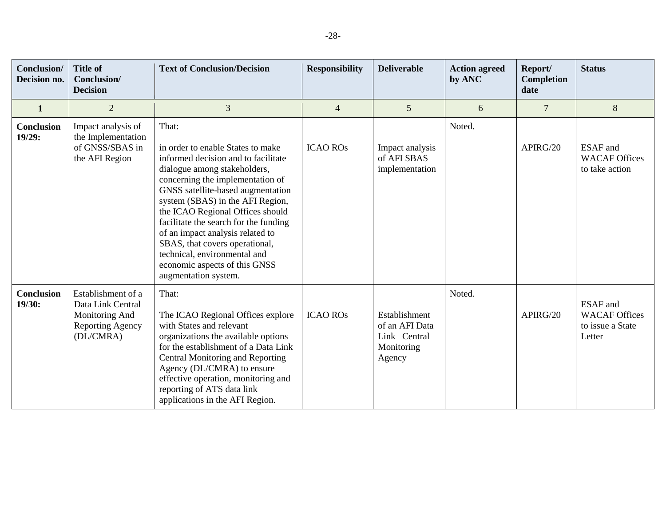| Conclusion/<br>Decision no. | <b>Title of</b><br>Conclusion/<br><b>Decision</b>                                                 | <b>Text of Conclusion/Decision</b>                                                                                                                                                                                                                                                                                                                                                                                                                                         | <b>Responsibility</b> | <b>Deliverable</b>                                                      | <b>Action agreed</b><br>by ANC | Report/<br>Completion<br>date | <b>Status</b>                                                         |
|-----------------------------|---------------------------------------------------------------------------------------------------|----------------------------------------------------------------------------------------------------------------------------------------------------------------------------------------------------------------------------------------------------------------------------------------------------------------------------------------------------------------------------------------------------------------------------------------------------------------------------|-----------------------|-------------------------------------------------------------------------|--------------------------------|-------------------------------|-----------------------------------------------------------------------|
| $\mathbf{1}$                | $\overline{2}$                                                                                    | 3                                                                                                                                                                                                                                                                                                                                                                                                                                                                          | $\overline{4}$        | 5                                                                       | 6                              | $\overline{7}$                | 8                                                                     |
| <b>Conclusion</b><br>19/29: | Impact analysis of<br>the Implementation<br>of GNSS/SBAS in<br>the AFI Region                     | That:<br>in order to enable States to make<br>informed decision and to facilitate<br>dialogue among stakeholders,<br>concerning the implementation of<br>GNSS satellite-based augmentation<br>system (SBAS) in the AFI Region,<br>the ICAO Regional Offices should<br>facilitate the search for the funding<br>of an impact analysis related to<br>SBAS, that covers operational,<br>technical, environmental and<br>economic aspects of this GNSS<br>augmentation system. | <b>ICAO ROS</b>       | Impact analysis<br>of AFI SBAS<br>implementation                        | Noted.                         | APIRG/20                      | <b>ESAF</b> and<br><b>WACAF Offices</b><br>to take action             |
| <b>Conclusion</b><br>19/30: | Establishment of a<br>Data Link Central<br>Monitoring And<br><b>Reporting Agency</b><br>(DL/CMRA) | That:<br>The ICAO Regional Offices explore<br>with States and relevant<br>organizations the available options<br>for the establishment of a Data Link<br>Central Monitoring and Reporting<br>Agency (DL/CMRA) to ensure<br>effective operation, monitoring and<br>reporting of ATS data link<br>applications in the AFI Region.                                                                                                                                            | <b>ICAO ROS</b>       | Establishment<br>of an AFI Data<br>Link Central<br>Monitoring<br>Agency | Noted.                         | APIRG/20                      | <b>ESAF</b> and<br><b>WACAF Offices</b><br>to issue a State<br>Letter |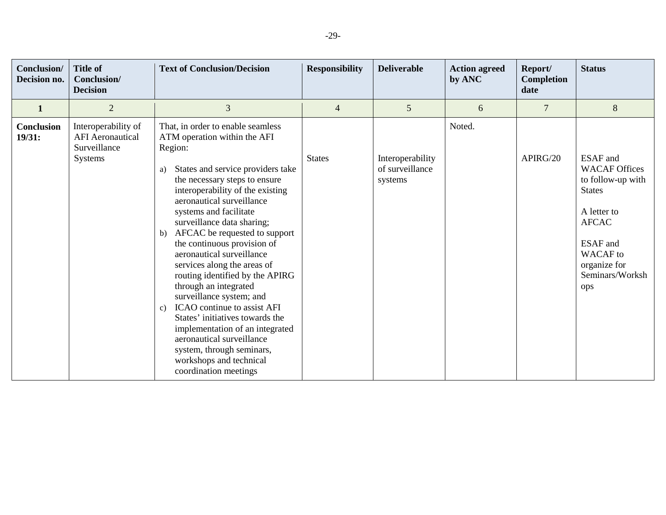| Conclusion/<br>Decision no. | <b>Title of</b><br>Conclusion/<br><b>Decision</b>                                | <b>Text of Conclusion/Decision</b>                                                                                                                                                                                                                                                                                                                                                                                                                                                                                                                                                                                                                                                                                                              | <b>Responsibility</b> | <b>Deliverable</b>                             | <b>Action agreed</b><br>by ANC | Report/<br><b>Completion</b><br>date | <b>Status</b>                                                                                                                                                                         |
|-----------------------------|----------------------------------------------------------------------------------|-------------------------------------------------------------------------------------------------------------------------------------------------------------------------------------------------------------------------------------------------------------------------------------------------------------------------------------------------------------------------------------------------------------------------------------------------------------------------------------------------------------------------------------------------------------------------------------------------------------------------------------------------------------------------------------------------------------------------------------------------|-----------------------|------------------------------------------------|--------------------------------|--------------------------------------|---------------------------------------------------------------------------------------------------------------------------------------------------------------------------------------|
| $\mathbf{1}$                | $\overline{2}$                                                                   | 3                                                                                                                                                                                                                                                                                                                                                                                                                                                                                                                                                                                                                                                                                                                                               | $\overline{4}$        | 5                                              | 6                              | 7                                    | $8\,$                                                                                                                                                                                 |
| <b>Conclusion</b><br>19/31: | Interoperability of<br><b>AFI</b> Aeronautical<br>Surveillance<br><b>Systems</b> | That, in order to enable seamless<br>ATM operation within the AFI<br>Region:<br>States and service providers take<br>a)<br>the necessary steps to ensure<br>interoperability of the existing<br>aeronautical surveillance<br>systems and facilitate<br>surveillance data sharing;<br>AFCAC be requested to support<br>b)<br>the continuous provision of<br>aeronautical surveillance<br>services along the areas of<br>routing identified by the APIRG<br>through an integrated<br>surveillance system; and<br>ICAO continue to assist AFI<br>$\mathbf{c})$<br>States' initiatives towards the<br>implementation of an integrated<br>aeronautical surveillance<br>system, through seminars,<br>workshops and technical<br>coordination meetings | <b>States</b>         | Interoperability<br>of surveillance<br>systems | Noted.                         | APIRG/20                             | <b>ESAF</b> and<br><b>WACAF Offices</b><br>to follow-up with<br><b>States</b><br>A letter to<br><b>AFCAC</b><br>ESAF and<br><b>WACAF</b> to<br>organize for<br>Seminars/Worksh<br>ops |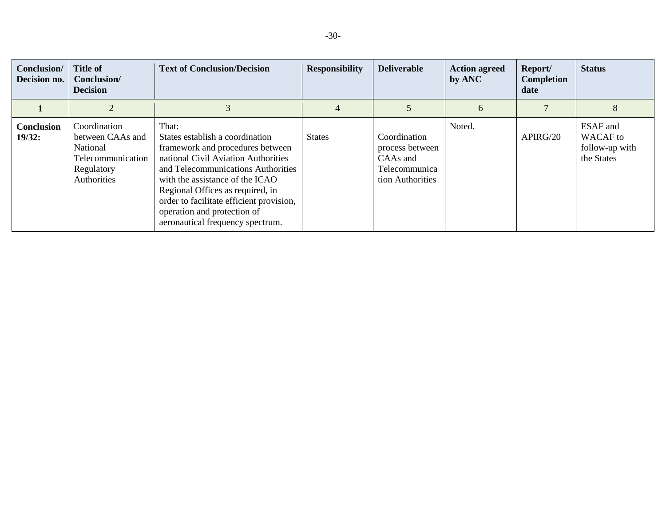| Conclusion/<br>Decision no. | <b>Title of</b><br>Conclusion/<br><b>Decision</b>                                              | <b>Text of Conclusion/Decision</b>                                                                                                                                                                                                                                                                                                              | <b>Responsibility</b> | <b>Deliverable</b>                                                               | <b>Action agreed</b><br>by ANC | Report/<br>Completion<br>date | <b>Status</b>                                               |
|-----------------------------|------------------------------------------------------------------------------------------------|-------------------------------------------------------------------------------------------------------------------------------------------------------------------------------------------------------------------------------------------------------------------------------------------------------------------------------------------------|-----------------------|----------------------------------------------------------------------------------|--------------------------------|-------------------------------|-------------------------------------------------------------|
|                             |                                                                                                |                                                                                                                                                                                                                                                                                                                                                 | 4                     |                                                                                  | 6                              |                               | 8                                                           |
| <b>Conclusion</b><br>19/32: | Coordination<br>between CAAs and<br>National<br>Telecommunication<br>Regulatory<br>Authorities | That:<br>States establish a coordination<br>framework and procedures between<br>national Civil Aviation Authorities<br>and Telecommunications Authorities<br>with the assistance of the ICAO<br>Regional Offices as required, in<br>order to facilitate efficient provision,<br>operation and protection of<br>aeronautical frequency spectrum. | <b>States</b>         | Coordination<br>process between<br>CAAs and<br>Telecommunica<br>tion Authorities | Noted.                         | APIRG/20                      | ESAF and<br><b>WACAF</b> to<br>follow-up with<br>the States |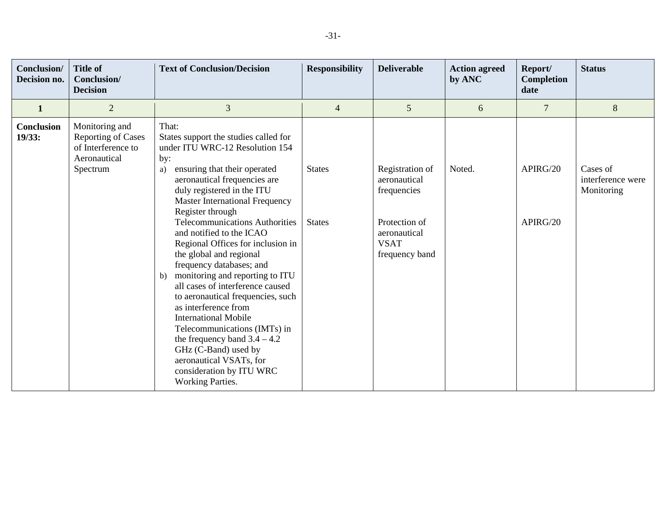| Conclusion/<br>Decision no. | <b>Title of</b><br>Conclusion/<br><b>Decision</b>                                             | <b>Text of Conclusion/Decision</b>                                                                                                                                                                                                                                                                                                                                                                                                                                                                                                                                                                                                                                                                                                                                              | <b>Responsibility</b>          | <b>Deliverable</b>                                                                                               | <b>Action agreed</b><br>by ANC | Report/<br>Completion<br>date | <b>Status</b>                               |
|-----------------------------|-----------------------------------------------------------------------------------------------|---------------------------------------------------------------------------------------------------------------------------------------------------------------------------------------------------------------------------------------------------------------------------------------------------------------------------------------------------------------------------------------------------------------------------------------------------------------------------------------------------------------------------------------------------------------------------------------------------------------------------------------------------------------------------------------------------------------------------------------------------------------------------------|--------------------------------|------------------------------------------------------------------------------------------------------------------|--------------------------------|-------------------------------|---------------------------------------------|
| $\mathbf{1}$                | $\overline{2}$                                                                                | 3                                                                                                                                                                                                                                                                                                                                                                                                                                                                                                                                                                                                                                                                                                                                                                               | $\overline{4}$                 | 5                                                                                                                | 6                              | $\overline{7}$                | $8\,$                                       |
| Conclusion<br>19/33:        | Monitoring and<br><b>Reporting of Cases</b><br>of Interference to<br>Aeronautical<br>Spectrum | That:<br>States support the studies called for<br>under ITU WRC-12 Resolution 154<br>by:<br>ensuring that their operated<br>a)<br>aeronautical frequencies are<br>duly registered in the ITU<br><b>Master International Frequency</b><br>Register through<br><b>Telecommunications Authorities</b><br>and notified to the ICAO<br>Regional Offices for inclusion in<br>the global and regional<br>frequency databases; and<br>monitoring and reporting to ITU<br>b)<br>all cases of interference caused<br>to aeronautical frequencies, such<br>as interference from<br><b>International Mobile</b><br>Telecommunications (IMTs) in<br>the frequency band $3.4 - 4.2$<br>GHz (C-Band) used by<br>aeronautical VSATs, for<br>consideration by ITU WRC<br><b>Working Parties.</b> | <b>States</b><br><b>States</b> | Registration of<br>aeronautical<br>frequencies<br>Protection of<br>aeronautical<br><b>VSAT</b><br>frequency band | Noted.                         | APIRG/20<br>APIRG/20          | Cases of<br>interference were<br>Monitoring |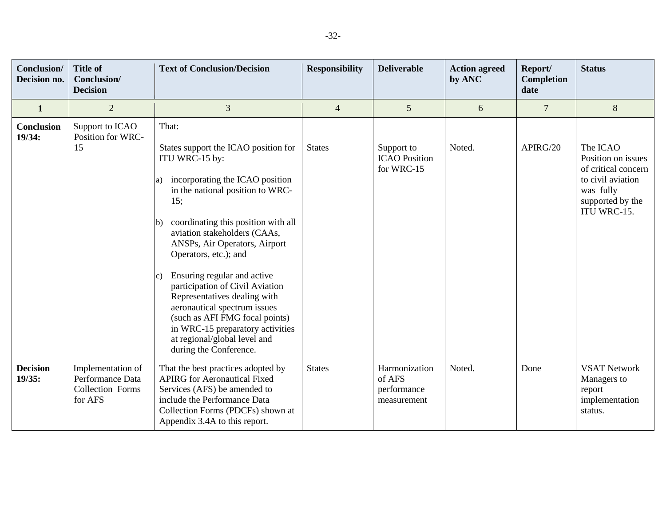| Conclusion/<br>Decision no. | <b>Title of</b><br>Conclusion/<br><b>Decision</b>                    | <b>Text of Conclusion/Decision</b>                                                                                                                                                                                                                                                                                                                                                                                                                                                                                                                                          | <b>Responsibility</b> | <b>Deliverable</b>                                    | <b>Action agreed</b><br>by ANC | Report/<br>Completion<br>date | <b>Status</b>                                                                                                              |
|-----------------------------|----------------------------------------------------------------------|-----------------------------------------------------------------------------------------------------------------------------------------------------------------------------------------------------------------------------------------------------------------------------------------------------------------------------------------------------------------------------------------------------------------------------------------------------------------------------------------------------------------------------------------------------------------------------|-----------------------|-------------------------------------------------------|--------------------------------|-------------------------------|----------------------------------------------------------------------------------------------------------------------------|
| $\mathbf{1}$                | $\overline{2}$                                                       | $\overline{3}$                                                                                                                                                                                                                                                                                                                                                                                                                                                                                                                                                              | $\overline{4}$        | $5\phantom{.0}$                                       | 6                              | $\overline{7}$                | $\,8\,$                                                                                                                    |
| Conclusion<br>19/34:        | Support to ICAO<br>Position for WRC-<br>15                           | That:<br>States support the ICAO position for<br>ITU WRC-15 by:<br>incorporating the ICAO position<br>a)<br>in the national position to WRC-<br>15:<br>coordinating this position with all<br>lb)<br>aviation stakeholders (CAAs,<br>ANSPs, Air Operators, Airport<br>Operators, etc.); and<br>Ensuring regular and active<br>$\vert c)$<br>participation of Civil Aviation<br>Representatives dealing with<br>aeronautical spectrum issues<br>(such as AFI FMG focal points)<br>in WRC-15 preparatory activities<br>at regional/global level and<br>during the Conference. | <b>States</b>         | Support to<br><b>ICAO</b> Position<br>for WRC-15      | Noted.                         | APIRG/20                      | The ICAO<br>Position on issues<br>of critical concern<br>to civil aviation<br>was fully<br>supported by the<br>ITU WRC-15. |
| <b>Decision</b><br>19/35:   | Implementation of<br>Performance Data<br>Collection Forms<br>for AFS | That the best practices adopted by<br><b>APIRG</b> for Aeronautical Fixed<br>Services (AFS) be amended to<br>include the Performance Data<br>Collection Forms (PDCFs) shown at<br>Appendix 3.4A to this report.                                                                                                                                                                                                                                                                                                                                                             | <b>States</b>         | Harmonization<br>of AFS<br>performance<br>measurement | Noted.                         | Done                          | <b>VSAT Network</b><br>Managers to<br>report<br>implementation<br>status.                                                  |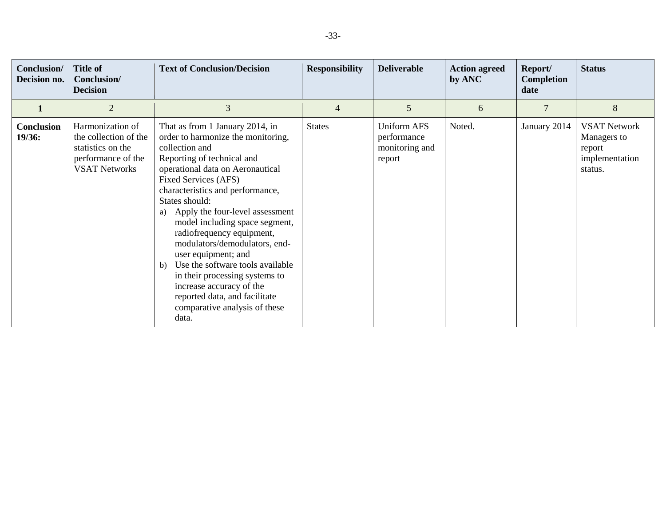| Conclusion/<br>Decision no. | <b>Title of</b><br>Conclusion/<br><b>Decision</b>                                                            | <b>Text of Conclusion/Decision</b>                                                                                                                                                                                                                                                                                                                                                                                                                                                                                                                                                         | <b>Responsibility</b> | <b>Deliverable</b>                                            | <b>Action agreed</b><br>by ANC | Report/<br><b>Completion</b><br>date | <b>Status</b>                                                             |
|-----------------------------|--------------------------------------------------------------------------------------------------------------|--------------------------------------------------------------------------------------------------------------------------------------------------------------------------------------------------------------------------------------------------------------------------------------------------------------------------------------------------------------------------------------------------------------------------------------------------------------------------------------------------------------------------------------------------------------------------------------------|-----------------------|---------------------------------------------------------------|--------------------------------|--------------------------------------|---------------------------------------------------------------------------|
|                             | $\overline{2}$                                                                                               | 3                                                                                                                                                                                                                                                                                                                                                                                                                                                                                                                                                                                          | $\overline{4}$        | 5                                                             | 6                              | $\overline{7}$                       | $8\,$                                                                     |
| <b>Conclusion</b><br>19/36: | Harmonization of<br>the collection of the<br>statistics on the<br>performance of the<br><b>VSAT Networks</b> | That as from 1 January 2014, in<br>order to harmonize the monitoring,<br>collection and<br>Reporting of technical and<br>operational data on Aeronautical<br>Fixed Services (AFS)<br>characteristics and performance,<br>States should:<br>Apply the four-level assessment<br>a)<br>model including space segment,<br>radiofrequency equipment,<br>modulators/demodulators, end-<br>user equipment; and<br>Use the software tools available<br>b)<br>in their processing systems to<br>increase accuracy of the<br>reported data, and facilitate<br>comparative analysis of these<br>data. | <b>States</b>         | <b>Uniform AFS</b><br>performance<br>monitoring and<br>report | Noted.                         | January 2014                         | <b>VSAT Network</b><br>Managers to<br>report<br>implementation<br>status. |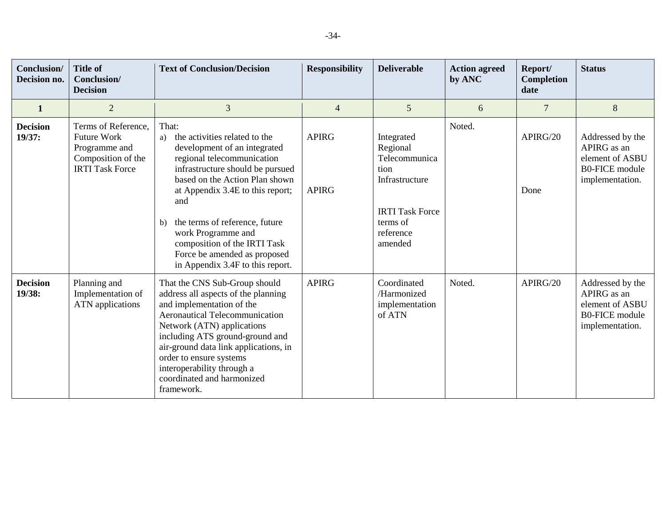| Conclusion/<br>Decision no. | <b>Title of</b><br>Conclusion/<br><b>Decision</b>                                                          | <b>Text of Conclusion/Decision</b>                                                                                                                                                                                                                                                                                                                                                                      | <b>Responsibility</b>        | <b>Deliverable</b>                                                                                                              | <b>Action agreed</b><br>by ANC | Report/<br>Completion<br>date | <b>Status</b>                                                                                  |
|-----------------------------|------------------------------------------------------------------------------------------------------------|---------------------------------------------------------------------------------------------------------------------------------------------------------------------------------------------------------------------------------------------------------------------------------------------------------------------------------------------------------------------------------------------------------|------------------------------|---------------------------------------------------------------------------------------------------------------------------------|--------------------------------|-------------------------------|------------------------------------------------------------------------------------------------|
| $\mathbf{1}$                | $\overline{2}$                                                                                             | 3                                                                                                                                                                                                                                                                                                                                                                                                       | $\overline{4}$               | 5                                                                                                                               | 6                              | $\overline{7}$                | 8                                                                                              |
| <b>Decision</b><br>19/37:   | Terms of Reference,<br><b>Future Work</b><br>Programme and<br>Composition of the<br><b>IRTI Task Force</b> | That:<br>the activities related to the<br>a)<br>development of an integrated<br>regional telecommunication<br>infrastructure should be pursued<br>based on the Action Plan shown<br>at Appendix 3.4E to this report;<br>and<br>the terms of reference, future<br>$\mathbf{b}$<br>work Programme and<br>composition of the IRTI Task<br>Force be amended as proposed<br>in Appendix 3.4F to this report. | <b>APIRG</b><br><b>APIRG</b> | Integrated<br>Regional<br>Telecommunica<br>tion<br>Infrastructure<br><b>IRTI Task Force</b><br>terms of<br>reference<br>amended | Noted.                         | APIRG/20<br>Done              | Addressed by the<br>APIRG as an<br>element of ASBU<br><b>B0-FICE</b> module<br>implementation. |
| <b>Decision</b><br>19/38:   | Planning and<br>Implementation of<br><b>ATN</b> applications                                               | That the CNS Sub-Group should<br>address all aspects of the planning<br>and implementation of the<br><b>Aeronautical Telecommunication</b><br>Network (ATN) applications<br>including ATS ground-ground and<br>air-ground data link applications, in<br>order to ensure systems<br>interoperability through a<br>coordinated and harmonized<br>framework.                                               | <b>APIRG</b>                 | Coordinated<br>/Harmonized<br>implementation<br>of ATN                                                                          | Noted.                         | APIRG/20                      | Addressed by the<br>APIRG as an<br>element of ASBU<br><b>B0-FICE</b> module<br>implementation. |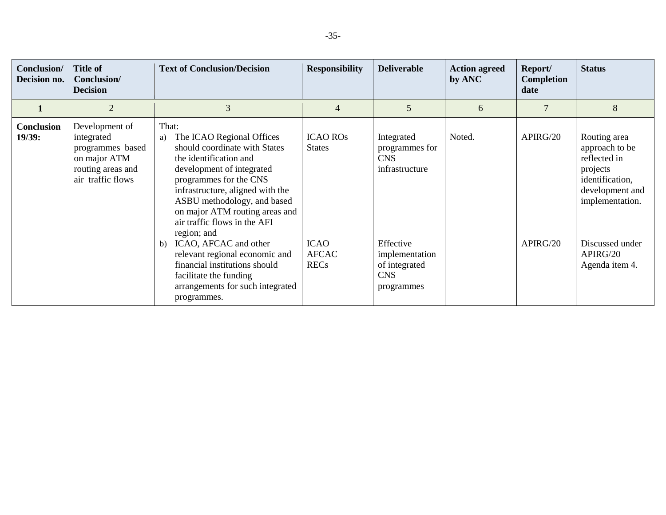| Conclusion/<br>Decision no. | <b>Title of</b><br>Conclusion/<br><b>Decision</b>                                                          | <b>Text of Conclusion/Decision</b>                                                                                                                                                                                                                                                                                                                                                                                                                                                            | <b>Responsibility</b>                                                          | <b>Deliverable</b>                                                                                                                       | <b>Action agreed</b><br>by ANC | Report/<br><b>Completion</b><br>date | <b>Status</b>                                                                                                                                                        |
|-----------------------------|------------------------------------------------------------------------------------------------------------|-----------------------------------------------------------------------------------------------------------------------------------------------------------------------------------------------------------------------------------------------------------------------------------------------------------------------------------------------------------------------------------------------------------------------------------------------------------------------------------------------|--------------------------------------------------------------------------------|------------------------------------------------------------------------------------------------------------------------------------------|--------------------------------|--------------------------------------|----------------------------------------------------------------------------------------------------------------------------------------------------------------------|
|                             | $\overline{2}$                                                                                             | 3                                                                                                                                                                                                                                                                                                                                                                                                                                                                                             | $\overline{4}$                                                                 | 5                                                                                                                                        | 6                              |                                      | 8                                                                                                                                                                    |
| <b>Conclusion</b><br>19/39: | Development of<br>integrated<br>programmes based<br>on major ATM<br>routing areas and<br>air traffic flows | That:<br>The ICAO Regional Offices<br>a)<br>should coordinate with States<br>the identification and<br>development of integrated<br>programmes for the CNS<br>infrastructure, aligned with the<br>ASBU methodology, and based<br>on major ATM routing areas and<br>air traffic flows in the AFI<br>region; and<br>ICAO, AFCAC and other<br>b)<br>relevant regional economic and<br>financial institutions should<br>facilitate the funding<br>arrangements for such integrated<br>programmes. | <b>ICAO ROS</b><br><b>States</b><br><b>ICAO</b><br><b>AFCAC</b><br><b>RECs</b> | Integrated<br>programmes for<br><b>CNS</b><br>infrastructure<br>Effective<br>implementation<br>of integrated<br><b>CNS</b><br>programmes | Noted.                         | APIRG/20<br>APIRG/20                 | Routing area<br>approach to be<br>reflected in<br>projects<br>identification,<br>development and<br>implementation.<br>Discussed under<br>APIRG/20<br>Agenda item 4. |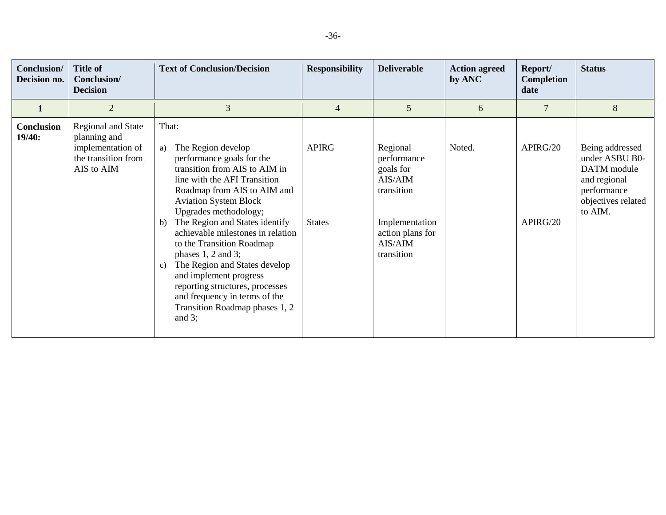| Conclusion/<br>Decision no. | <b>Title of</b><br>Conclusion/<br><b>Decision</b>                                                   | <b>Text of Conclusion/Decision</b>                                                                                                                                                                                                                                                                                                                                                                                                                                                                                                                           | <b>Responsibility</b>         | <b>Deliverable</b>                                                                                                           | <b>Action agreed</b><br>by ANC | Report/<br><b>Completion</b><br>date | <b>Status</b>                                                                                                    |
|-----------------------------|-----------------------------------------------------------------------------------------------------|--------------------------------------------------------------------------------------------------------------------------------------------------------------------------------------------------------------------------------------------------------------------------------------------------------------------------------------------------------------------------------------------------------------------------------------------------------------------------------------------------------------------------------------------------------------|-------------------------------|------------------------------------------------------------------------------------------------------------------------------|--------------------------------|--------------------------------------|------------------------------------------------------------------------------------------------------------------|
| 1                           | $\overline{2}$                                                                                      | 3                                                                                                                                                                                                                                                                                                                                                                                                                                                                                                                                                            | $\overline{4}$                | 5                                                                                                                            | 6                              | 7                                    | 8                                                                                                                |
| Conclusion<br>19/40:        | <b>Regional and State</b><br>planning and<br>implementation of<br>the transition from<br>AIS to AIM | That:<br>The Region develop<br>a)<br>performance goals for the<br>transition from AIS to AIM in<br>line with the AFI Transition<br>Roadmap from AIS to AIM and<br><b>Aviation System Block</b><br>Upgrades methodology;<br>The Region and States identify<br>b)<br>achievable milestones in relation<br>to the Transition Roadmap<br>phases $1, 2$ and $3$ ;<br>The Region and States develop<br>$\mathbf{c}$ )<br>and implement progress<br>reporting structures, processes<br>and frequency in terms of the<br>Transition Roadmap phases 1, 2<br>and $3$ ; | <b>APIRG</b><br><b>States</b> | Regional<br>performance<br>goals for<br>AIS/AIM<br>transition<br>Implementation<br>action plans for<br>AIS/AIM<br>transition | Noted.                         | APIRG/20<br>APIRG/20                 | Being addressed<br>under ASBU B0-<br>DATM module<br>and regional<br>performance<br>objectives related<br>to AIM. |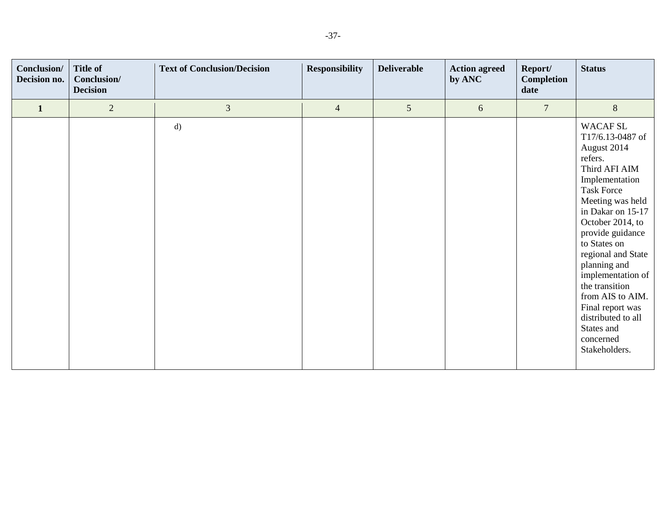| Conclusion/<br>Decision no. | <b>Title of</b><br>Conclusion/<br><b>Decision</b> | <b>Text of Conclusion/Decision</b> | <b>Responsibility</b> | <b>Deliverable</b> | <b>Action agreed</b><br>by ANC | Report/<br><b>Completion</b><br>date | <b>Status</b>                                                                                                                                                                                                                                                                                                                                                                                                 |
|-----------------------------|---------------------------------------------------|------------------------------------|-----------------------|--------------------|--------------------------------|--------------------------------------|---------------------------------------------------------------------------------------------------------------------------------------------------------------------------------------------------------------------------------------------------------------------------------------------------------------------------------------------------------------------------------------------------------------|
| $\mathbf{1}$                | $\overline{2}$                                    | $\mathfrak{Z}$                     | $\overline{4}$        | $\sqrt{5}$         | $\boldsymbol{6}$               | $\overline{7}$                       | $8\,$                                                                                                                                                                                                                                                                                                                                                                                                         |
|                             |                                                   | d)                                 |                       |                    |                                |                                      | <b>WACAF SL</b><br>T17/6.13-0487 of<br>August 2014<br>refers.<br>Third AFI AIM<br>Implementation<br><b>Task Force</b><br>Meeting was held<br>in Dakar on 15-17<br>October 2014, to<br>provide guidance<br>to States on<br>regional and State<br>planning and<br>implementation of<br>the transition<br>from AIS to AIM.<br>Final report was<br>distributed to all<br>States and<br>concerned<br>Stakeholders. |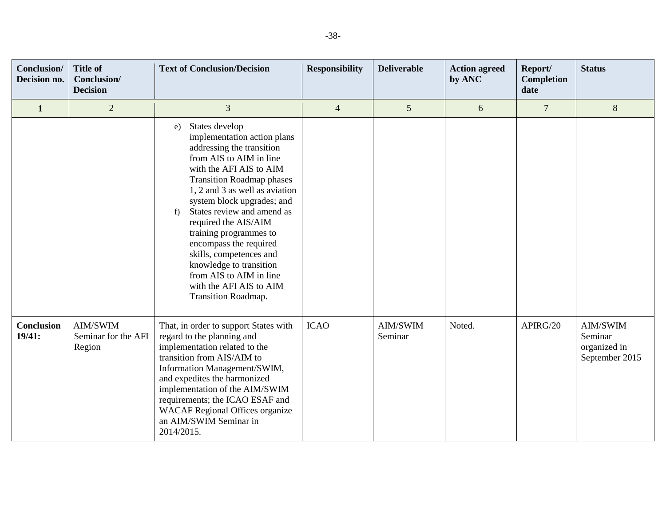| Conclusion/<br>Decision no. | <b>Title of</b><br>Conclusion/<br><b>Decision</b> | <b>Text of Conclusion/Decision</b>                                                                                                                                                                                                                                                                                                                                                                                                                                                            | <b>Responsibility</b> | <b>Deliverable</b>  | <b>Action agreed</b><br>by ANC | Report/<br><b>Completion</b><br>date | <b>Status</b>                                         |
|-----------------------------|---------------------------------------------------|-----------------------------------------------------------------------------------------------------------------------------------------------------------------------------------------------------------------------------------------------------------------------------------------------------------------------------------------------------------------------------------------------------------------------------------------------------------------------------------------------|-----------------------|---------------------|--------------------------------|--------------------------------------|-------------------------------------------------------|
| $\mathbf{1}$                | $\overline{2}$                                    | $\overline{3}$                                                                                                                                                                                                                                                                                                                                                                                                                                                                                | $\overline{4}$        | 5                   | 6                              | $\overline{7}$                       | 8                                                     |
|                             |                                                   | States develop<br>e)<br>implementation action plans<br>addressing the transition<br>from AIS to AIM in line<br>with the AFI AIS to AIM<br><b>Transition Roadmap phases</b><br>1, 2 and 3 as well as aviation<br>system block upgrades; and<br>States review and amend as<br>f)<br>required the AIS/AIM<br>training programmes to<br>encompass the required<br>skills, competences and<br>knowledge to transition<br>from AIS to AIM in line<br>with the AFI AIS to AIM<br>Transition Roadmap. |                       |                     |                                |                                      |                                                       |
| <b>Conclusion</b><br>19/41: | AIM/SWIM<br>Seminar for the AFI<br>Region         | That, in order to support States with<br>regard to the planning and<br>implementation related to the<br>transition from AIS/AIM to<br>Information Management/SWIM,<br>and expedites the harmonized<br>implementation of the AIM/SWIM<br>requirements; the ICAO ESAF and<br><b>WACAF Regional Offices organize</b><br>an AIM/SWIM Seminar in<br>2014/2015.                                                                                                                                     | <b>ICAO</b>           | AIM/SWIM<br>Seminar | Noted.                         | APIRG/20                             | AIM/SWIM<br>Seminar<br>organized in<br>September 2015 |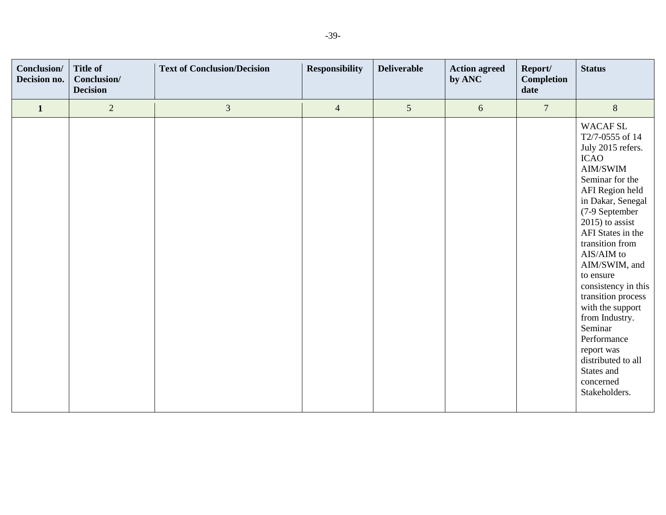| Conclusion/<br>Decision no. | <b>Title of</b><br>Conclusion/<br><b>Decision</b> | <b>Text of Conclusion/Decision</b> | <b>Responsibility</b> | <b>Deliverable</b> | <b>Action agreed</b><br>by ANC | Report/<br><b>Completion</b><br>date | <b>Status</b>                                                                                                                                                                                                                                                                                                                                                                                                                                                                              |
|-----------------------------|---------------------------------------------------|------------------------------------|-----------------------|--------------------|--------------------------------|--------------------------------------|--------------------------------------------------------------------------------------------------------------------------------------------------------------------------------------------------------------------------------------------------------------------------------------------------------------------------------------------------------------------------------------------------------------------------------------------------------------------------------------------|
| $\mathbf{1}$                | $\overline{2}$                                    | $\mathfrak{Z}$                     | $\overline{4}$        | $5\overline{)}$    | $6\,$                          | $\overline{7}$                       | $8\,$                                                                                                                                                                                                                                                                                                                                                                                                                                                                                      |
|                             |                                                   |                                    |                       |                    |                                |                                      | <b>WACAF SL</b><br>T2/7-0555 of 14<br>July 2015 refers.<br><b>ICAO</b><br>AIM/SWIM<br>Seminar for the<br>AFI Region held<br>in Dakar, Senegal<br>(7-9 September<br>$2015$ ) to assist<br>AFI States in the<br>transition from<br>$\mathrm{AIS}/\mathrm{AIM}$ to<br>AIM/SWIM, and<br>to ensure<br>consistency in this<br>transition process<br>with the support<br>from Industry.<br>Seminar<br>Performance<br>report was<br>distributed to all<br>States and<br>concerned<br>Stakeholders. |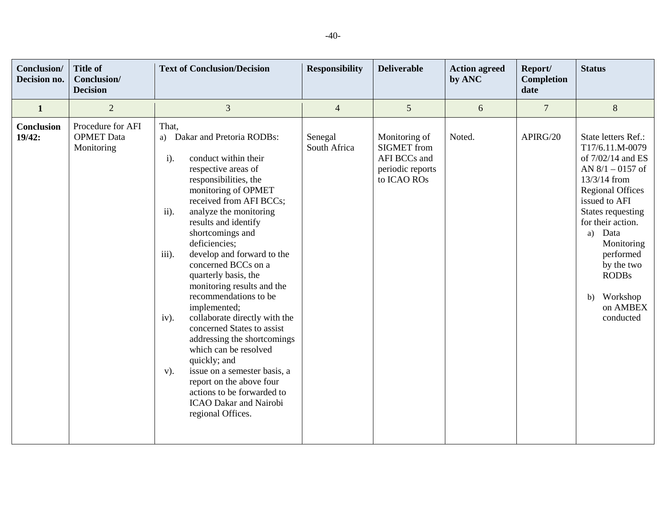| Conclusion/<br>Decision no. | <b>Title of</b><br>Conclusion/<br><b>Decision</b>    | <b>Text of Conclusion/Decision</b>                                                                                                                                                                                                                                                                                                                                                                                                                                                                                                                                                                                                                                                                                                                     | <b>Responsibility</b>   | <b>Deliverable</b>                                                                     | <b>Action agreed</b><br>by ANC | Report/<br>Completion<br>date | <b>Status</b>                                                                                                                                                                                                                                                                                            |
|-----------------------------|------------------------------------------------------|--------------------------------------------------------------------------------------------------------------------------------------------------------------------------------------------------------------------------------------------------------------------------------------------------------------------------------------------------------------------------------------------------------------------------------------------------------------------------------------------------------------------------------------------------------------------------------------------------------------------------------------------------------------------------------------------------------------------------------------------------------|-------------------------|----------------------------------------------------------------------------------------|--------------------------------|-------------------------------|----------------------------------------------------------------------------------------------------------------------------------------------------------------------------------------------------------------------------------------------------------------------------------------------------------|
| $\mathbf{1}$                | $\overline{2}$                                       | 3                                                                                                                                                                                                                                                                                                                                                                                                                                                                                                                                                                                                                                                                                                                                                      | $\overline{4}$          | 5                                                                                      | 6                              | $\overline{7}$                | $\,8\,$                                                                                                                                                                                                                                                                                                  |
| Conclusion<br>19/42:        | Procedure for AFI<br><b>OPMET</b> Data<br>Monitoring | That.<br>a) Dakar and Pretoria RODBs:<br>conduct within their<br>$\mathbf{i}$ .<br>respective areas of<br>responsibilities, the<br>monitoring of OPMET<br>received from AFI BCCs;<br>ii).<br>analyze the monitoring<br>results and identify<br>shortcomings and<br>deficiencies;<br>develop and forward to the<br>iii).<br>concerned BCCs on a<br>quarterly basis, the<br>monitoring results and the<br>recommendations to be<br>implemented;<br>collaborate directly with the<br>iv).<br>concerned States to assist<br>addressing the shortcomings<br>which can be resolved<br>quickly; and<br>issue on a semester basis, a<br>$V$ ).<br>report on the above four<br>actions to be forwarded to<br><b>ICAO Dakar and Nairobi</b><br>regional Offices. | Senegal<br>South Africa | Monitoring of<br><b>SIGMET</b> from<br>AFI BCCs and<br>periodic reports<br>to ICAO ROs | Noted.                         | APIRG/20                      | State letters Ref.:<br>T17/6.11.M-0079<br>of 7/02/14 and ES<br>AN $8/1 - 0157$ of<br>$13/3/14$ from<br><b>Regional Offices</b><br>issued to AFI<br>States requesting<br>for their action.<br>Data<br>a)<br>Monitoring<br>performed<br>by the two<br><b>RODBs</b><br>b) Workshop<br>on AMBEX<br>conducted |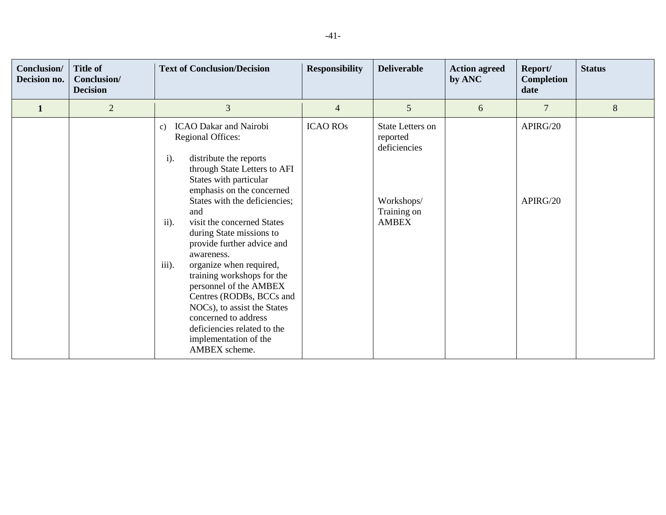| Conclusion/<br>Decision no. | <b>Title of</b><br>Conclusion/<br><b>Decision</b> | <b>Text of Conclusion/Decision</b>                                                                                                                                                                                                                                                                                                                                                                                                                                                                                                                                                                                          | <b>Responsibility</b> | <b>Deliverable</b>                                                                               | <b>Action agreed</b><br>by ANC | Report/<br><b>Completion</b><br>date | <b>Status</b> |
|-----------------------------|---------------------------------------------------|-----------------------------------------------------------------------------------------------------------------------------------------------------------------------------------------------------------------------------------------------------------------------------------------------------------------------------------------------------------------------------------------------------------------------------------------------------------------------------------------------------------------------------------------------------------------------------------------------------------------------------|-----------------------|--------------------------------------------------------------------------------------------------|--------------------------------|--------------------------------------|---------------|
| $\mathbf{1}$                | $\overline{2}$                                    | 3                                                                                                                                                                                                                                                                                                                                                                                                                                                                                                                                                                                                                           | 4                     | 5                                                                                                | 6                              | $\overline{7}$                       | 8             |
|                             |                                                   | <b>ICAO Dakar and Nairobi</b><br>$\mathbf{c})$<br><b>Regional Offices:</b><br>$\mathbf{i}$ .<br>distribute the reports<br>through State Letters to AFI<br>States with particular<br>emphasis on the concerned<br>States with the deficiencies;<br>and<br>ii).<br>visit the concerned States<br>during State missions to<br>provide further advice and<br>awareness.<br>iii).<br>organize when required,<br>training workshops for the<br>personnel of the AMBEX<br>Centres (RODBs, BCCs and<br>NOCs), to assist the States<br>concerned to address<br>deficiencies related to the<br>implementation of the<br>AMBEX scheme. | <b>ICAO ROS</b>       | <b>State Letters on</b><br>reported<br>deficiencies<br>Workshops/<br>Training on<br><b>AMBEX</b> |                                | APIRG/20<br>APIRG/20                 |               |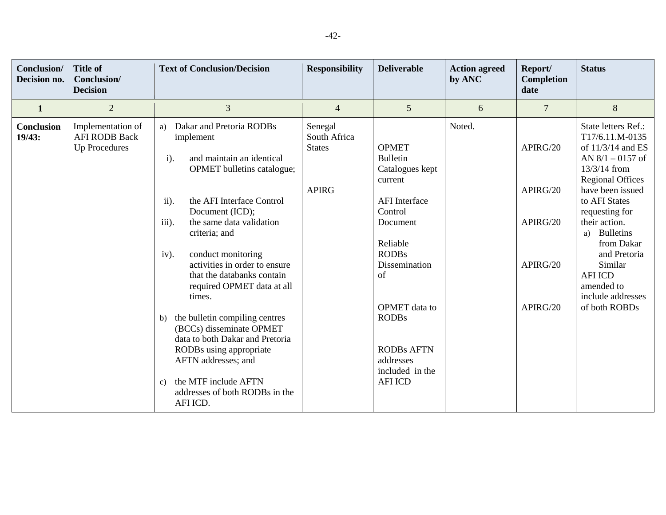| Conclusion/<br>Decision no. | <b>Title of</b><br>Conclusion/<br><b>Decision</b>                 | <b>Text of Conclusion/Decision</b>                                                                                                                                                                                                                                                                                                                                                                                                                                                                                                                                                                                    | <b>Responsibility</b>                                    | <b>Deliverable</b>                                                                                                                                                                                                                                                      | <b>Action agreed</b><br>by ANC | Report/<br>Completion<br>date                            | <b>Status</b>                                                                                                                                                                                                                                                                                                                                   |
|-----------------------------|-------------------------------------------------------------------|-----------------------------------------------------------------------------------------------------------------------------------------------------------------------------------------------------------------------------------------------------------------------------------------------------------------------------------------------------------------------------------------------------------------------------------------------------------------------------------------------------------------------------------------------------------------------------------------------------------------------|----------------------------------------------------------|-------------------------------------------------------------------------------------------------------------------------------------------------------------------------------------------------------------------------------------------------------------------------|--------------------------------|----------------------------------------------------------|-------------------------------------------------------------------------------------------------------------------------------------------------------------------------------------------------------------------------------------------------------------------------------------------------------------------------------------------------|
| $\mathbf{1}$                | $\overline{2}$                                                    | 3                                                                                                                                                                                                                                                                                                                                                                                                                                                                                                                                                                                                                     | $\overline{4}$                                           | 5                                                                                                                                                                                                                                                                       | 6                              | $\overline{7}$                                           | $8\,$                                                                                                                                                                                                                                                                                                                                           |
| <b>Conclusion</b><br>19/43: | Implementation of<br><b>AFI RODB Back</b><br><b>Up Procedures</b> | Dakar and Pretoria RODBs<br>a)<br>implement<br>and maintain an identical<br>$i$ ).<br>OPMET bulletins catalogue;<br>the AFI Interface Control<br>ii).<br>Document (ICD);<br>the same data validation<br>iii).<br>criteria; and<br>conduct monitoring<br>iv).<br>activities in order to ensure<br>that the databanks contain<br>required OPMET data at all<br>times.<br>the bulletin compiling centres<br>b)<br>(BCCs) disseminate OPMET<br>data to both Dakar and Pretoria<br>RODBs using appropriate<br>AFTN addresses; and<br>the MTF include AFTN<br>$\mathcal{C}$ )<br>addresses of both RODBs in the<br>AFI ICD. | Senegal<br>South Africa<br><b>States</b><br><b>APIRG</b> | <b>OPMET</b><br><b>Bulletin</b><br>Catalogues kept<br>current<br><b>AFI</b> Interface<br>Control<br>Document<br>Reliable<br><b>RODBs</b><br>Dissemination<br>of<br>OPMET data to<br><b>RODBs</b><br><b>RODBs AFTN</b><br>addresses<br>included in the<br><b>AFI ICD</b> | Noted.                         | APIRG/20<br>APIRG/20<br>APIRG/20<br>APIRG/20<br>APIRG/20 | State letters Ref.:<br>T17/6.11.M-0135<br>of $11/3/14$ and ES<br>AN $8/1 - 0157$ of<br>13/3/14 from<br><b>Regional Offices</b><br>have been issued<br>to AFI States<br>requesting for<br>their action.<br><b>Bulletins</b><br>a)<br>from Dakar<br>and Pretoria<br>Similar<br><b>AFI ICD</b><br>amended to<br>include addresses<br>of both ROBDs |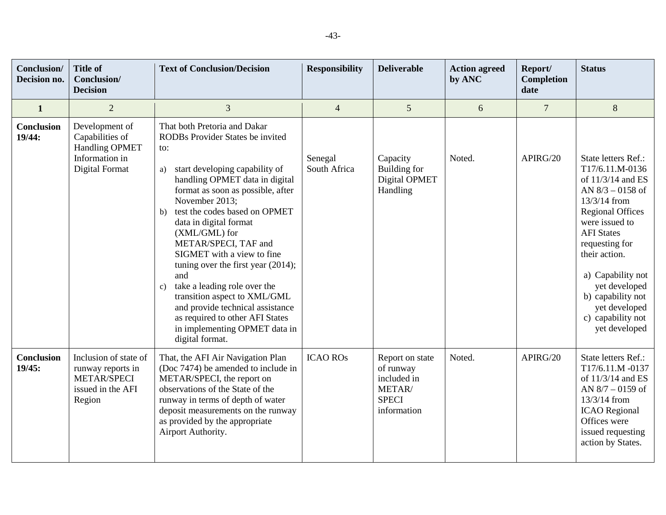| Conclusion/<br>Decision no. | <b>Title of</b><br><b>Conclusion</b> /<br><b>Decision</b>                                       | <b>Text of Conclusion/Decision</b>                                                                                                                                                                                                                                                                                                                                                                                                                                                                                                                                                                           | <b>Responsibility</b>   | <b>Deliverable</b>                                                                   | <b>Action agreed</b><br>by ANC | Report/<br>Completion<br>date | <b>Status</b>                                                                                                                                                                                                                                                                                                            |
|-----------------------------|-------------------------------------------------------------------------------------------------|--------------------------------------------------------------------------------------------------------------------------------------------------------------------------------------------------------------------------------------------------------------------------------------------------------------------------------------------------------------------------------------------------------------------------------------------------------------------------------------------------------------------------------------------------------------------------------------------------------------|-------------------------|--------------------------------------------------------------------------------------|--------------------------------|-------------------------------|--------------------------------------------------------------------------------------------------------------------------------------------------------------------------------------------------------------------------------------------------------------------------------------------------------------------------|
| $\mathbf{1}$                | $\overline{2}$                                                                                  | 3                                                                                                                                                                                                                                                                                                                                                                                                                                                                                                                                                                                                            | $\overline{4}$          | 5                                                                                    | 6                              | $\overline{7}$                | 8                                                                                                                                                                                                                                                                                                                        |
| Conclusion<br>19/44:        | Development of<br>Capabilities of<br><b>Handling OPMET</b><br>Information in<br>Digital Format  | That both Pretoria and Dakar<br>RODBs Provider States be invited<br>to:<br>start developing capability of<br>a)<br>handling OPMET data in digital<br>format as soon as possible, after<br>November 2013;<br>test the codes based on OPMET<br>b)<br>data in digital format<br>(XML/GML) for<br>METAR/SPECI, TAF and<br>SIGMET with a view to fine<br>tuning over the first year $(2014)$ ;<br>and<br>take a leading role over the<br>$\mathbf{c})$<br>transition aspect to XML/GML<br>and provide technical assistance<br>as required to other AFI States<br>in implementing OPMET data in<br>digital format. | Senegal<br>South Africa | Capacity<br>Building for<br>Digital OPMET<br>Handling                                | Noted.                         | APIRG/20                      | State letters Ref.:<br>T17/6.11.M-0136<br>of 11/3/14 and ES<br>AN $8/3 - 0158$ of<br>13/3/14 from<br><b>Regional Offices</b><br>were issued to<br><b>AFI</b> States<br>requesting for<br>their action.<br>a) Capability not<br>yet developed<br>b) capability not<br>yet developed<br>c) capability not<br>yet developed |
| <b>Conclusion</b><br>19/45: | Inclusion of state of<br>runway reports in<br><b>METAR/SPECI</b><br>issued in the AFI<br>Region | That, the AFI Air Navigation Plan<br>(Doc 7474) be amended to include in<br>METAR/SPECI, the report on<br>observations of the State of the<br>runway in terms of depth of water<br>deposit measurements on the runway<br>as provided by the appropriate<br>Airport Authority.                                                                                                                                                                                                                                                                                                                                | <b>ICAO ROS</b>         | Report on state<br>of runway<br>included in<br>METAR/<br><b>SPECI</b><br>information | Noted.                         | APIRG/20                      | State letters Ref.:<br>T17/6.11.M -0137<br>of 11/3/14 and ES<br>AN $8/7 - 0159$ of<br>13/3/14 from<br><b>ICAO</b> Regional<br>Offices were<br>issued requesting<br>action by States.                                                                                                                                     |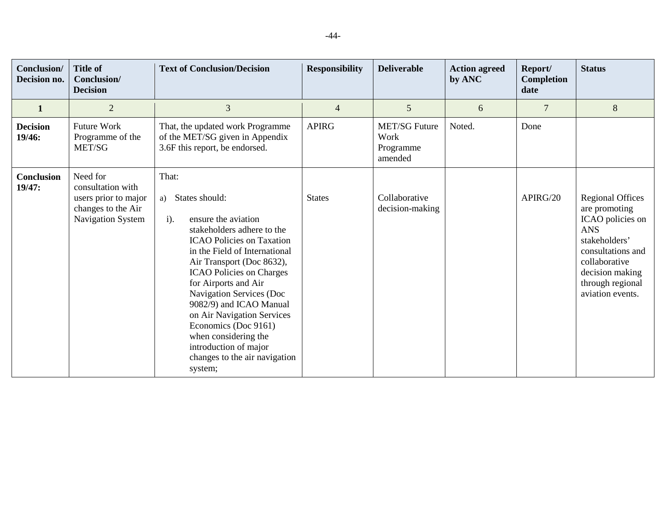| <b>Conclusion</b> /<br>Decision no. | <b>Title of</b><br>Conclusion/<br><b>Decision</b>                                                       | <b>Text of Conclusion/Decision</b>                                                                                                                                                                                                                                                                                                                                                                                                                                  | <b>Responsibility</b> | <b>Deliverable</b>                                   | <b>Action agreed</b><br>by ANC | Report/<br><b>Completion</b><br>date | <b>Status</b>                                                                                                                                                                                |
|-------------------------------------|---------------------------------------------------------------------------------------------------------|---------------------------------------------------------------------------------------------------------------------------------------------------------------------------------------------------------------------------------------------------------------------------------------------------------------------------------------------------------------------------------------------------------------------------------------------------------------------|-----------------------|------------------------------------------------------|--------------------------------|--------------------------------------|----------------------------------------------------------------------------------------------------------------------------------------------------------------------------------------------|
| 1                                   | $\overline{2}$                                                                                          | 3                                                                                                                                                                                                                                                                                                                                                                                                                                                                   | 4                     | 5                                                    | 6                              | $\overline{7}$                       | 8                                                                                                                                                                                            |
| <b>Decision</b><br>19/46:           | <b>Future Work</b><br>Programme of the<br>MET/SG                                                        | That, the updated work Programme<br>of the MET/SG given in Appendix<br>3.6F this report, be endorsed.                                                                                                                                                                                                                                                                                                                                                               | <b>APIRG</b>          | <b>MET/SG Future</b><br>Work<br>Programme<br>amended | Noted.                         | Done                                 |                                                                                                                                                                                              |
| Conclusion<br>19/47:                | Need for<br>consultation with<br>users prior to major<br>changes to the Air<br><b>Navigation System</b> | That:<br>States should:<br>a)<br>ensure the aviation<br>$i$ ).<br>stakeholders adhere to the<br><b>ICAO</b> Policies on Taxation<br>in the Field of International<br>Air Transport (Doc 8632),<br><b>ICAO</b> Policies on Charges<br>for Airports and Air<br>Navigation Services (Doc<br>9082/9) and ICAO Manual<br>on Air Navigation Services<br>Economics (Doc 9161)<br>when considering the<br>introduction of major<br>changes to the air navigation<br>system; | <b>States</b>         | Collaborative<br>decision-making                     |                                | APIRG/20                             | <b>Regional Offices</b><br>are promoting<br>ICAO policies on<br><b>ANS</b><br>stakeholders'<br>consultations and<br>collaborative<br>decision making<br>through regional<br>aviation events. |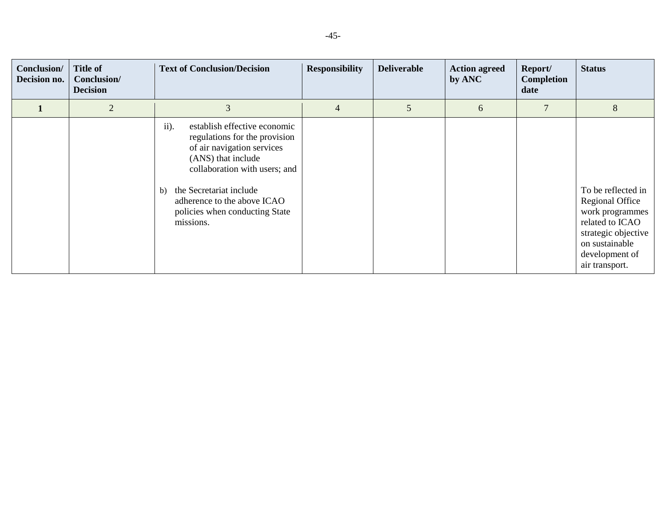| Conclusion/<br>Decision no. | <b>Title of</b><br>Conclusion/<br><b>Decision</b> | <b>Text of Conclusion/Decision</b>                                                                                                                                                                                                                                        | <b>Responsibility</b> | <b>Deliverable</b> | <b>Action agreed</b><br>by ANC | Report/<br>Completion<br>date | <b>Status</b>                                                                                                                                            |
|-----------------------------|---------------------------------------------------|---------------------------------------------------------------------------------------------------------------------------------------------------------------------------------------------------------------------------------------------------------------------------|-----------------------|--------------------|--------------------------------|-------------------------------|----------------------------------------------------------------------------------------------------------------------------------------------------------|
|                             | $\overline{2}$                                    | 3                                                                                                                                                                                                                                                                         | 4                     | 5                  | 6                              | 7                             | 8                                                                                                                                                        |
|                             |                                                   | ii).<br>establish effective economic<br>regulations for the provision<br>of air navigation services<br>(ANS) that include<br>collaboration with users; and<br>the Secretariat include<br>b)<br>adherence to the above ICAO<br>policies when conducting State<br>missions. |                       |                    |                                |                               | To be reflected in<br>Regional Office<br>work programmes<br>related to ICAO<br>strategic objective<br>on sustainable<br>development of<br>air transport. |